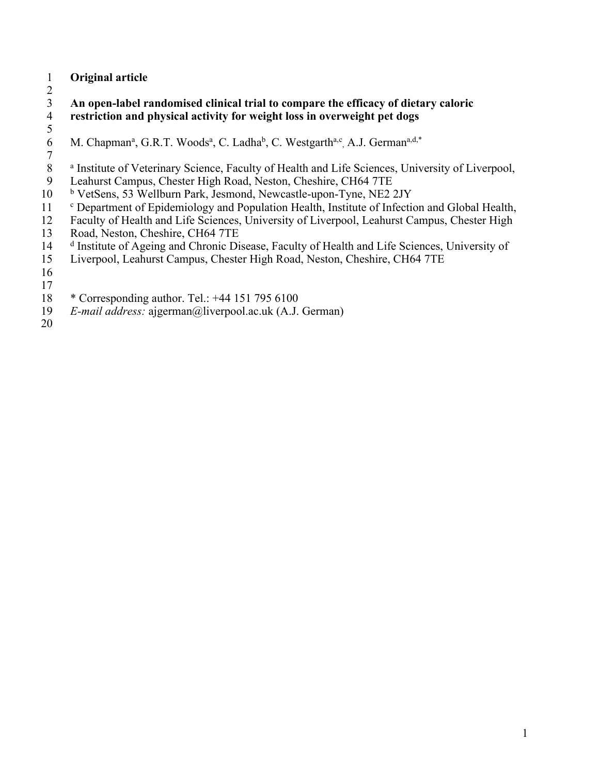## **Original article**

 $\frac{2}{3}$  **An open-label randomised clinical trial to compare the efficacy of dietary caloric restriction and physical activity for weight loss in overweight pet dogs**

- $\frac{5}{6}$
- 6 M. Chapman<sup>a</sup>, G.R.T. Woods<sup>a</sup>, C. Ladha<sup>b</sup>, C. Westgarth<sup>a,c</sup>, A.J. German<sup>a,d,\*</sup>
- $\begin{array}{c} 7 \\ 8 \end{array}$
- <sup>a</sup> Institute of Veterinary Science, Faculty of Health and Life Sciences, University of Liverpool,
- Leahurst Campus, Chester High Road, Neston, Cheshire, CH64 7TE
- <sup>b</sup> VetSens, 53 Wellburn Park, Jesmond, Newcastle-upon-Tyne, NE2 2JY
- <sup>c</sup> Department of Epidemiology and Population Health, Institute of Infection and Global Health,
- Faculty of Health and Life Sciences, University of Liverpool, Leahurst Campus, Chester High
- Road, Neston, Cheshire, CH64 7TE
- 14 <sup>d</sup> Institute of Ageing and Chronic Disease, Faculty of Health and Life Sciences, University of
- Liverpool, Leahurst Campus, Chester High Road, Neston, Cheshire, CH64 7TE
- 
- \* Corresponding author. Tel.: +44 151 795 6100
- *E-mail address:* ajgerman@liverpool.ac.uk (A.J. German)
-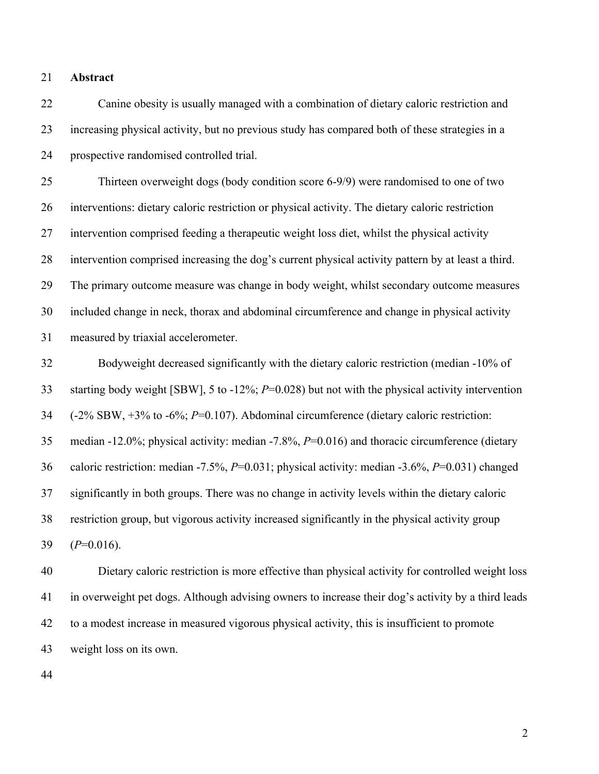**Abstract**

 Canine obesity is usually managed with a combination of dietary caloric restriction and increasing physical activity, but no previous study has compared both of these strategies in a prospective randomised controlled trial.

 Thirteen overweight dogs (body condition score 6-9/9) were randomised to one of two interventions: dietary caloric restriction or physical activity. The dietary caloric restriction intervention comprised feeding a therapeutic weight loss diet, whilst the physical activity intervention comprised increasing the dog's current physical activity pattern by at least a third. The primary outcome measure was change in body weight, whilst secondary outcome measures included change in neck, thorax and abdominal circumference and change in physical activity measured by triaxial accelerometer.

 Bodyweight decreased significantly with the dietary caloric restriction (median -10% of starting body weight [SBW], 5 to -12%; *P*=0.028) but not with the physical activity intervention (-2% SBW, +3% to -6%; *P*=0.107). Abdominal circumference (dietary caloric restriction: median -12.0%; physical activity: median -7.8%, *P*=0.016) and thoracic circumference (dietary caloric restriction: median -7.5%, *P*=0.031; physical activity: median -3.6%, *P*=0.031) changed significantly in both groups. There was no change in activity levels within the dietary caloric restriction group, but vigorous activity increased significantly in the physical activity group (*P*=0.016).

 Dietary caloric restriction is more effective than physical activity for controlled weight loss in overweight pet dogs. Although advising owners to increase their dog's activity by a third leads to a modest increase in measured vigorous physical activity, this is insufficient to promote weight loss on its own.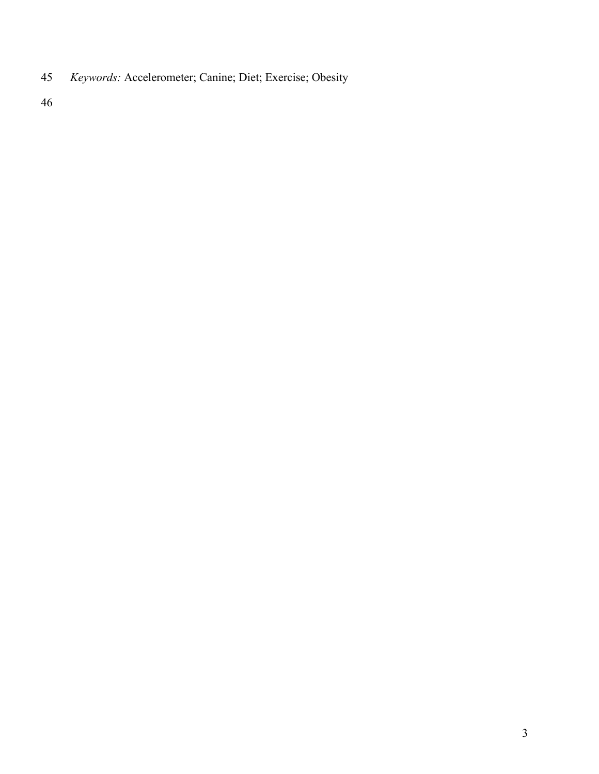*Keywords:* Accelerometer; Canine; Diet; Exercise; Obesity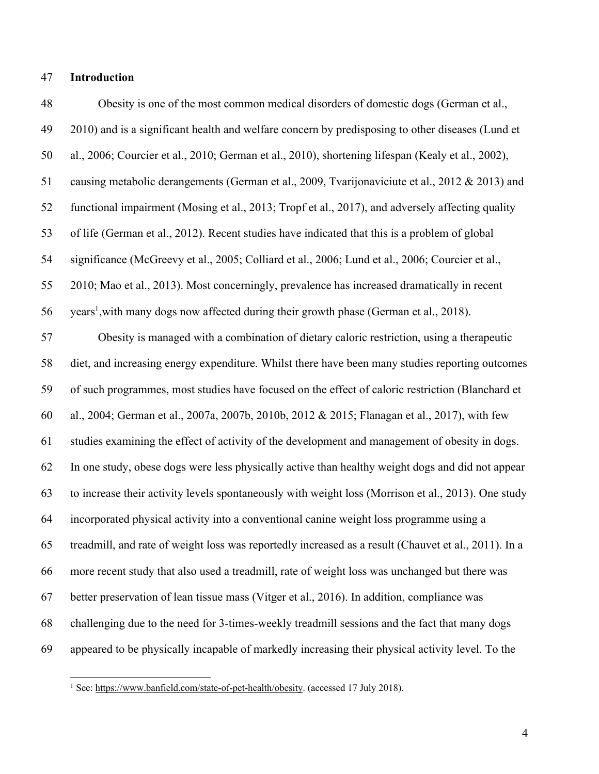#### **Introduction**

 Obesity is one of the most common medical disorders of domestic dogs (German et al., 2010) and is a significant health and welfare concern by predisposing to other diseases (Lund et al., 2006; Courcier et al., 2010; German et al., 2010), shortening lifespan (Kealy et al., 2002), causing metabolic derangements (German et al., 2009, Tvarijonaviciute et al., 2012 & 2013) and functional impairment (Mosing et al., 2013; Tropf et al., 2017), and adversely affecting quality of life (German et al., 2012). Recent studies have indicated that this is a problem of global significance (McGreevy et al., 2005; Colliard et al., 2006; Lund et al., 2006; Courcier et al., 2010; Mao et al., 2013). Most concerningly, prevalence has increased dramatically in recent 56 years<sup>1</sup>, with many dogs now affected during their growth phase (German et al., 2018). Obesity is managed with a combination of dietary caloric restriction, using a therapeutic diet, and increasing energy expenditure. Whilst there have been many studies reporting outcomes of such programmes, most studies have focused on the effect of caloric restriction (Blanchard et al., 2004; German et al., 2007a, 2007b, 2010b, 2012 & 2015; Flanagan et al., 2017), with few studies examining the effect of activity of the development and management of obesity in dogs. In one study, obese dogs were less physically active than healthy weight dogs and did not appear to increase their activity levels spontaneously with weight loss (Morrison et al., 2013). One study incorporated physical activity into a conventional canine weight loss programme using a treadmill, and rate of weight loss was reportedly increased as a result (Chauvet et al., 2011). In a more recent study that also used a treadmill, rate of weight loss was unchanged but there was better preservation of lean tissue mass (Vitger et al., 2016). In addition, compliance was challenging due to the need for 3-times-weekly treadmill sessions and the fact that many dogs appeared to be physically incapable of markedly increasing their physical activity level. To the

<sup>&</sup>lt;sup>1</sup> See: https://www.banfield.com/state-of-pet-health/obesity. (accessed 17 July 2018).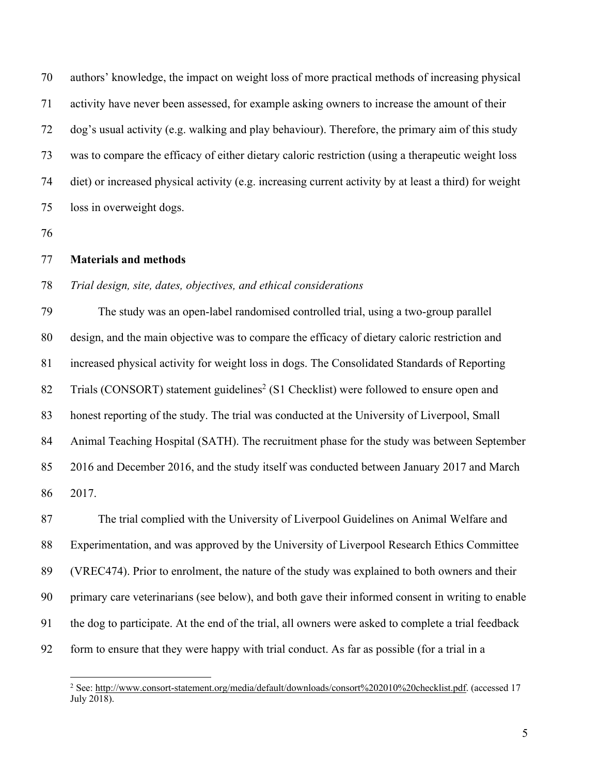authors' knowledge, the impact on weight loss of more practical methods of increasing physical activity have never been assessed, for example asking owners to increase the amount of their dog's usual activity (e.g. walking and play behaviour). Therefore, the primary aim of this study was to compare the efficacy of either dietary caloric restriction (using a therapeutic weight loss diet) or increased physical activity (e.g. increasing current activity by at least a third) for weight loss in overweight dogs.

#### **Materials and methods**

#### *Trial design, site, dates, objectives, and ethical considerations*

 The study was an open-label randomised controlled trial, using a two-group parallel design, and the main objective was to compare the efficacy of dietary caloric restriction and increased physical activity for weight loss in dogs. The Consolidated Standards of Reporting 82 Trials (CONSORT) statement guidelines<sup>2</sup> (S1 Checklist) were followed to ensure open and honest reporting of the study. The trial was conducted at the University of Liverpool, Small Animal Teaching Hospital (SATH). The recruitment phase for the study was between September 2016 and December 2016, and the study itself was conducted between January 2017 and March 2017.

 The trial complied with the University of Liverpool Guidelines on Animal Welfare and Experimentation, and was approved by the University of Liverpool Research Ethics Committee (VREC474). Prior to enrolment, the nature of the study was explained to both owners and their primary care veterinarians (see below), and both gave their informed consent in writing to enable the dog to participate. At the end of the trial, all owners were asked to complete a trial feedback form to ensure that they were happy with trial conduct. As far as possible (for a trial in a

 See: http://www.consort-statement.org/media/default/downloads/consort%202010%20checklist.pdf. (accessed <sup>17</sup> July 2018).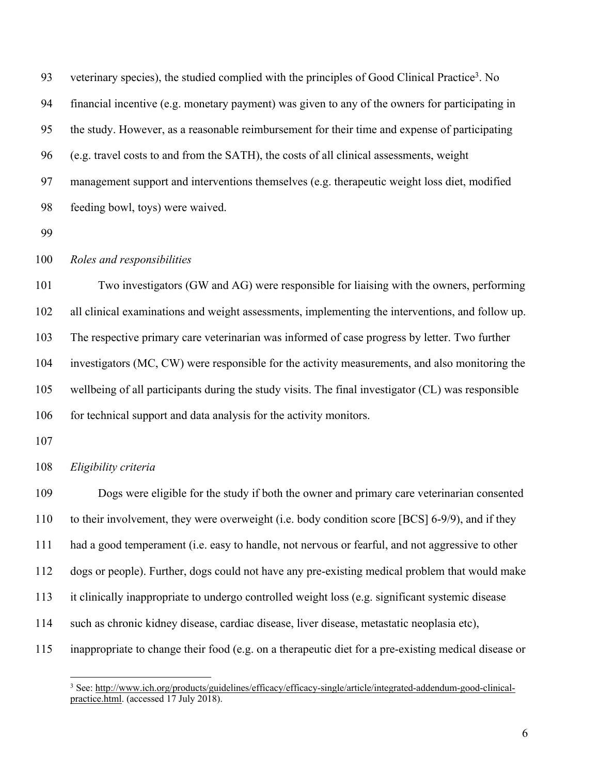93 veterinary species), the studied complied with the principles of Good Clinical Practice<sup>3</sup>. No financial incentive (e.g. monetary payment) was given to any of the owners for participating in the study. However, as a reasonable reimbursement for their time and expense of participating (e.g. travel costs to and from the SATH), the costs of all clinical assessments, weight management support and interventions themselves (e.g. therapeutic weight loss diet, modified feeding bowl, toys) were waived.

#### *Roles and responsibilities*

 Two investigators (GW and AG) were responsible for liaising with the owners, performing all clinical examinations and weight assessments, implementing the interventions, and follow up. The respective primary care veterinarian was informed of case progress by letter. Two further investigators (MC, CW) were responsible for the activity measurements, and also monitoring the wellbeing of all participants during the study visits. The final investigator (CL) was responsible for technical support and data analysis for the activity monitors.

#### *Eligibility criteria*

 Dogs were eligible for the study if both the owner and primary care veterinarian consented to their involvement, they were overweight (i.e. body condition score [BCS] 6-9/9), and if they had a good temperament (i.e. easy to handle, not nervous or fearful, and not aggressive to other dogs or people). Further, dogs could not have any pre-existing medical problem that would make it clinically inappropriate to undergo controlled weight loss (e.g. significant systemic disease such as chronic kidney disease, cardiac disease, liver disease, metastatic neoplasia etc), inappropriate to change their food (e.g. on a therapeutic diet for a pre-existing medical disease or

<sup>&</sup>lt;sup>3</sup> See: http://www.ich.org/products/guidelines/efficacy/efficacy-single/article/integrated-addendum-good-clinicalpractice.html. (accessed 17 July 2018).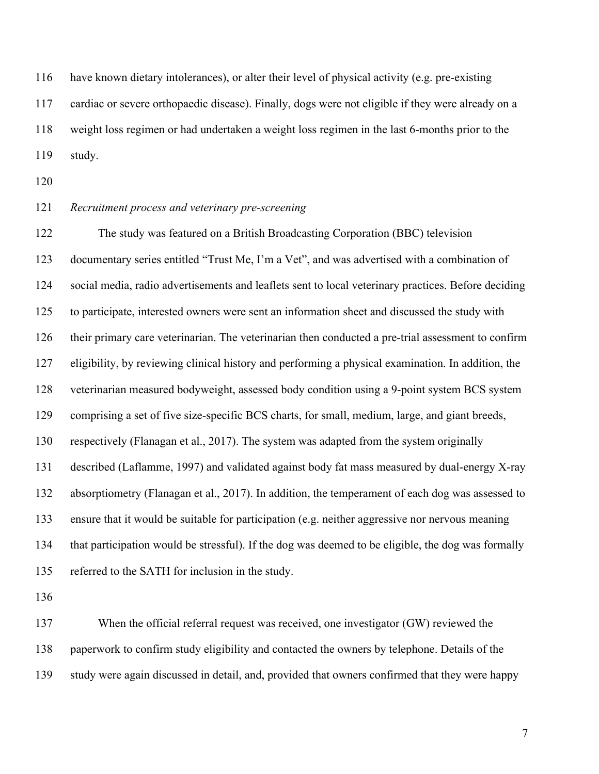have known dietary intolerances), or alter their level of physical activity (e.g. pre-existing cardiac or severe orthopaedic disease). Finally, dogs were not eligible if they were already on a weight loss regimen or had undertaken a weight loss regimen in the last 6-months prior to the study.

#### *Recruitment process and veterinary pre-screening*

 The study was featured on a British Broadcasting Corporation (BBC) television documentary series entitled "Trust Me, I'm a Vet", and was advertised with a combination of social media, radio advertisements and leaflets sent to local veterinary practices. Before deciding to participate, interested owners were sent an information sheet and discussed the study with their primary care veterinarian. The veterinarian then conducted a pre-trial assessment to confirm eligibility, by reviewing clinical history and performing a physical examination. In addition, the veterinarian measured bodyweight, assessed body condition using a 9-point system BCS system comprising a set of five size-specific BCS charts, for small, medium, large, and giant breeds, respectively (Flanagan et al., 2017). The system was adapted from the system originally described (Laflamme, 1997) and validated against body fat mass measured by dual-energy X-ray absorptiometry (Flanagan et al., 2017). In addition, the temperament of each dog was assessed to ensure that it would be suitable for participation (e.g. neither aggressive nor nervous meaning that participation would be stressful). If the dog was deemed to be eligible, the dog was formally referred to the SATH for inclusion in the study.

 When the official referral request was received, one investigator (GW) reviewed the paperwork to confirm study eligibility and contacted the owners by telephone. Details of the study were again discussed in detail, and, provided that owners confirmed that they were happy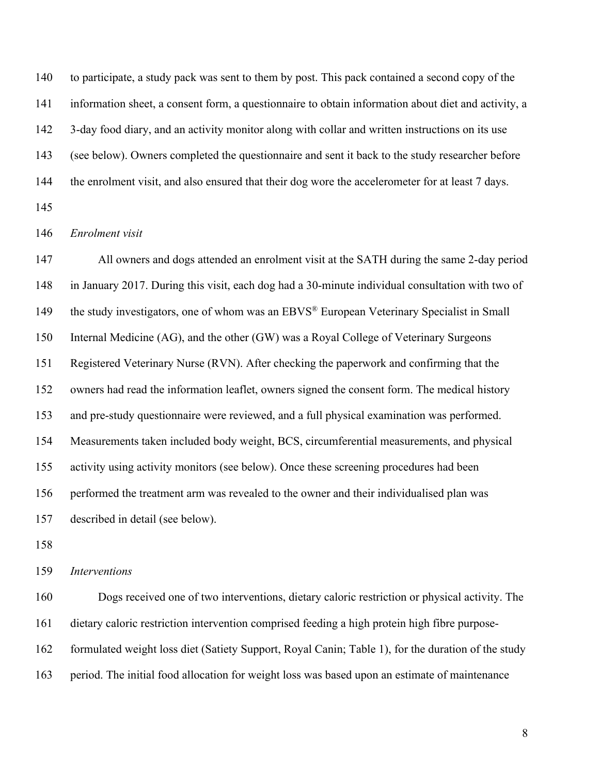140 to participate, a study pack was sent to them by post. This pack contained a second copy of the information sheet, a consent form, a questionnaire to obtain information about diet and activity, a 3-day food diary, and an activity monitor along with collar and written instructions on its use (see below). Owners completed the questionnaire and sent it back to the study researcher before 144 the enrolment visit, and also ensured that their dog wore the accelerometer for at least 7 days. 

#### *Enrolment visit*

 All owners and dogs attended an enrolment visit at the SATH during the same 2-day period in January 2017. During this visit, each dog had a 30-minute individual consultation with two of 149 the study investigators, one of whom was an EBVS<sup>®</sup> European Veterinary Specialist in Small Internal Medicine (AG), and the other (GW) was a Royal College of Veterinary Surgeons Registered Veterinary Nurse (RVN). After checking the paperwork and confirming that the owners had read the information leaflet, owners signed the consent form. The medical history and pre-study questionnaire were reviewed, and a full physical examination was performed. Measurements taken included body weight, BCS, circumferential measurements, and physical activity using activity monitors (see below). Once these screening procedures had been performed the treatment arm was revealed to the owner and their individualised plan was described in detail (see below).

#### *Interventions*

 Dogs received one of two interventions, dietary caloric restriction or physical activity. The dietary caloric restriction intervention comprised feeding a high protein high fibre purpose- formulated weight loss diet (Satiety Support, Royal Canin; Table 1), for the duration of the study period. The initial food allocation for weight loss was based upon an estimate of maintenance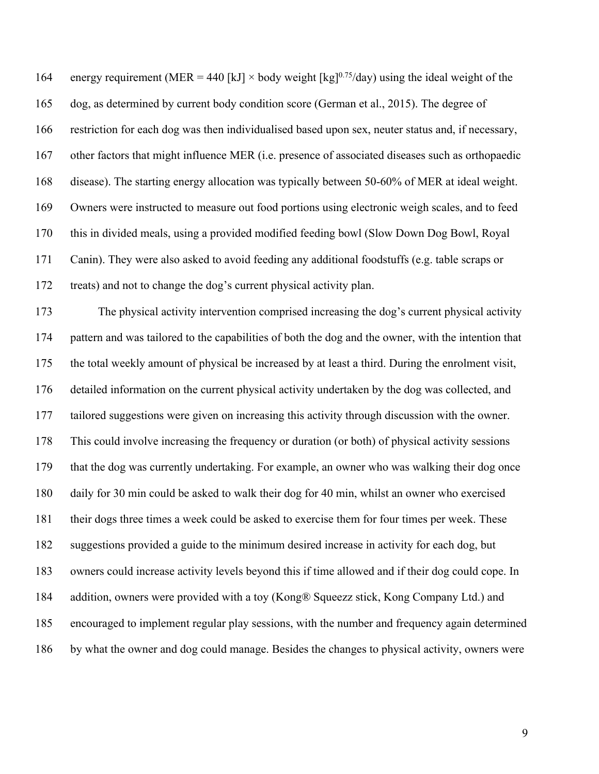164 energy requirement (MER = 440 [kJ]  $\times$  body weight [kg]<sup>0.75</sup>/day) using the ideal weight of the dog, as determined by current body condition score (German et al., 2015). The degree of restriction for each dog was then individualised based upon sex, neuter status and, if necessary, other factors that might influence MER (i.e. presence of associated diseases such as orthopaedic disease). The starting energy allocation was typically between 50-60% of MER at ideal weight. Owners were instructed to measure out food portions using electronic weigh scales, and to feed this in divided meals, using a provided modified feeding bowl (Slow Down Dog Bowl, Royal Canin). They were also asked to avoid feeding any additional foodstuffs (e.g. table scraps or treats) and not to change the dog's current physical activity plan.

 The physical activity intervention comprised increasing the dog's current physical activity pattern and was tailored to the capabilities of both the dog and the owner, with the intention that the total weekly amount of physical be increased by at least a third. During the enrolment visit, detailed information on the current physical activity undertaken by the dog was collected, and tailored suggestions were given on increasing this activity through discussion with the owner. This could involve increasing the frequency or duration (or both) of physical activity sessions that the dog was currently undertaking. For example, an owner who was walking their dog once daily for 30 min could be asked to walk their dog for 40 min, whilst an owner who exercised their dogs three times a week could be asked to exercise them for four times per week. These suggestions provided a guide to the minimum desired increase in activity for each dog, but owners could increase activity levels beyond this if time allowed and if their dog could cope. In addition, owners were provided with a toy (Kong® Squeezz stick, Kong Company Ltd.) and encouraged to implement regular play sessions, with the number and frequency again determined by what the owner and dog could manage. Besides the changes to physical activity, owners were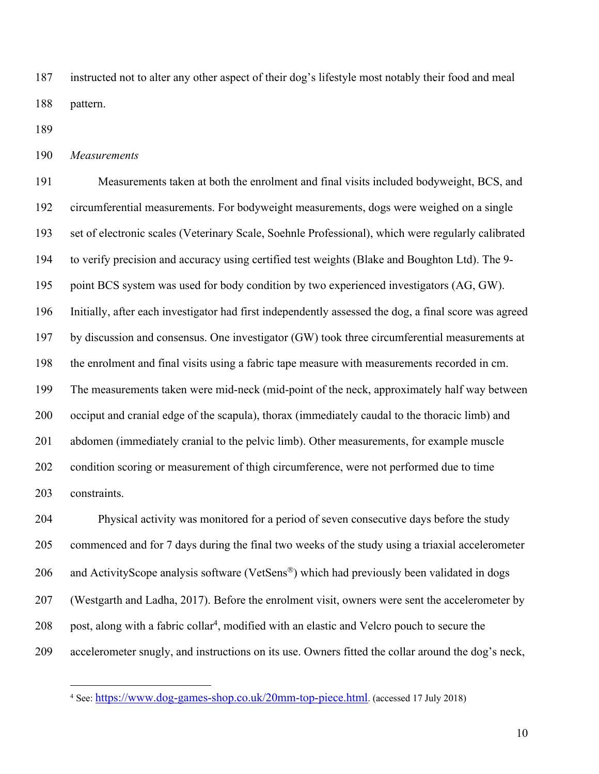instructed not to alter any other aspect of their dog's lifestyle most notably their food and meal pattern.

*Measurements*

 Measurements taken at both the enrolment and final visits included bodyweight, BCS, and circumferential measurements. For bodyweight measurements, dogs were weighed on a single set of electronic scales (Veterinary Scale, Soehnle Professional), which were regularly calibrated to verify precision and accuracy using certified test weights (Blake and Boughton Ltd). The 9- 195 point BCS system was used for body condition by two experienced investigators (AG, GW). Initially, after each investigator had first independently assessed the dog, a final score was agreed by discussion and consensus. One investigator (GW) took three circumferential measurements at the enrolment and final visits using a fabric tape measure with measurements recorded in cm. The measurements taken were mid-neck (mid-point of the neck, approximately half way between occiput and cranial edge of the scapula), thorax (immediately caudal to the thoracic limb) and abdomen (immediately cranial to the pelvic limb). Other measurements, for example muscle condition scoring or measurement of thigh circumference, were not performed due to time constraints.

 Physical activity was monitored for a period of seven consecutive days before the study commenced and for 7 days during the final two weeks of the study using a triaxial accelerometer 206 and ActivityScope analysis software (VetSens®) which had previously been validated in dogs (Westgarth and Ladha, 2017). Before the enrolment visit, owners were sent the accelerometer by 208 post, along with a fabric collar<sup>4</sup>, modified with an elastic and Velcro pouch to secure the accelerometer snugly, and instructions on its use. Owners fitted the collar around the dog's neck,

See: https://www.dog-games-shop.co.uk/20mm-top-piece.html. (accessed <sup>17</sup> July 2018)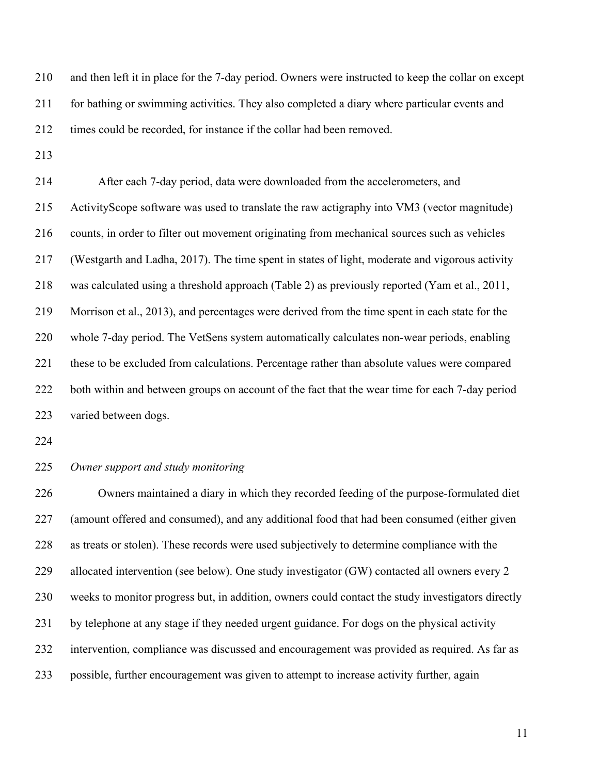and then left it in place for the 7-day period. Owners were instructed to keep the collar on except for bathing or swimming activities. They also completed a diary where particular events and times could be recorded, for instance if the collar had been removed.

 After each 7-day period, data were downloaded from the accelerometers, and ActivityScope software was used to translate the raw actigraphy into VM3 (vector magnitude) counts, in order to filter out movement originating from mechanical sources such as vehicles (Westgarth and Ladha, 2017). The time spent in states of light, moderate and vigorous activity was calculated using a threshold approach (Table 2) as previously reported (Yam et al., 2011, Morrison et al., 2013), and percentages were derived from the time spent in each state for the whole 7-day period. The VetSens system automatically calculates non-wear periods, enabling these to be excluded from calculations. Percentage rather than absolute values were compared 222 both within and between groups on account of the fact that the wear time for each 7-day period varied between dogs.

#### *Owner support and study monitoring*

 Owners maintained a diary in which they recorded feeding of the purpose-formulated diet (amount offered and consumed), and any additional food that had been consumed (either given as treats or stolen). These records were used subjectively to determine compliance with the allocated intervention (see below). One study investigator (GW) contacted all owners every 2 weeks to monitor progress but, in addition, owners could contact the study investigators directly by telephone at any stage if they needed urgent guidance. For dogs on the physical activity intervention, compliance was discussed and encouragement was provided as required. As far as possible, further encouragement was given to attempt to increase activity further, again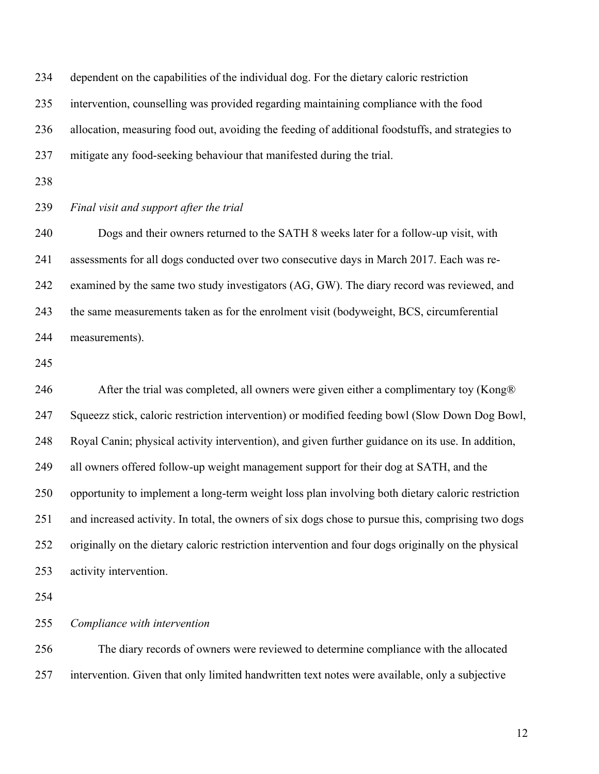| 234 | dependent on the capabilities of the individual dog. For the dietary caloric restriction            |
|-----|-----------------------------------------------------------------------------------------------------|
| 235 | intervention, counselling was provided regarding maintaining compliance with the food               |
| 236 | allocation, measuring food out, avoiding the feeding of additional foodstuffs, and strategies to    |
| 237 | mitigate any food-seeking behaviour that manifested during the trial.                               |
| 238 |                                                                                                     |
| 239 | Final visit and support after the trial                                                             |
| 240 | Dogs and their owners returned to the SATH 8 weeks later for a follow-up visit, with                |
| 241 | assessments for all dogs conducted over two consecutive days in March 2017. Each was re-            |
| 242 | examined by the same two study investigators (AG, GW). The diary record was reviewed, and           |
| 243 | the same measurements taken as for the enrolment visit (bodyweight, BCS, circumferential            |
| 244 | measurements).                                                                                      |
| 245 |                                                                                                     |
| 246 | After the trial was completed, all owners were given either a complimentary toy (Kong®)             |
| 247 | Squeezz stick, caloric restriction intervention) or modified feeding bowl (Slow Down Dog Bowl,      |
| 248 | Royal Canin; physical activity intervention), and given further guidance on its use. In addition,   |
| 249 | all owners offered follow-up weight management support for their dog at SATH, and the               |
| 250 | opportunity to implement a long-term weight loss plan involving both dietary caloric restriction    |
| 251 | and increased activity. In total, the owners of six dogs chose to pursue this, comprising two dogs  |
| 252 | originally on the dietary caloric restriction intervention and four dogs originally on the physical |
| 253 | activity intervention.                                                                              |
| 254 |                                                                                                     |
| 255 | Compliance with intervention                                                                        |
| 256 | The diary records of owners were reviewed to determine compliance with the allocated                |

intervention. Given that only limited handwritten text notes were available, only a subjective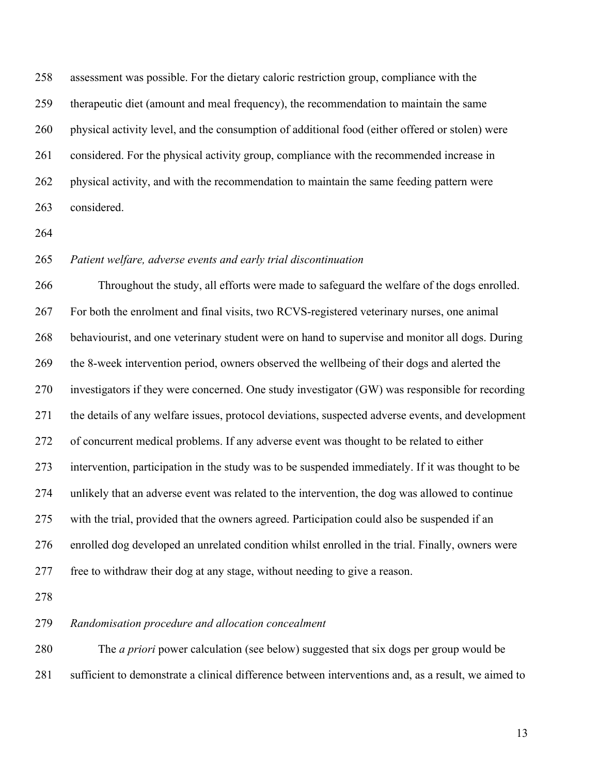assessment was possible. For the dietary caloric restriction group, compliance with the therapeutic diet (amount and meal frequency), the recommendation to maintain the same physical activity level, and the consumption of additional food (either offered or stolen) were considered. For the physical activity group, compliance with the recommended increase in physical activity, and with the recommendation to maintain the same feeding pattern were considered.

### *Patient welfare, adverse events and early trial discontinuation*

 Throughout the study, all efforts were made to safeguard the welfare of the dogs enrolled. For both the enrolment and final visits, two RCVS-registered veterinary nurses, one animal behaviourist, and one veterinary student were on hand to supervise and monitor all dogs. During the 8-week intervention period, owners observed the wellbeing of their dogs and alerted the investigators if they were concerned. One study investigator (GW) was responsible for recording the details of any welfare issues, protocol deviations, suspected adverse events, and development of concurrent medical problems. If any adverse event was thought to be related to either intervention, participation in the study was to be suspended immediately. If it was thought to be unlikely that an adverse event was related to the intervention, the dog was allowed to continue with the trial, provided that the owners agreed. Participation could also be suspended if an enrolled dog developed an unrelated condition whilst enrolled in the trial. Finally, owners were free to withdraw their dog at any stage, without needing to give a reason.

#### *Randomisation procedure and allocation concealment*

 The *a priori* power calculation (see below) suggested that six dogs per group would be sufficient to demonstrate a clinical difference between interventions and, as a result, we aimed to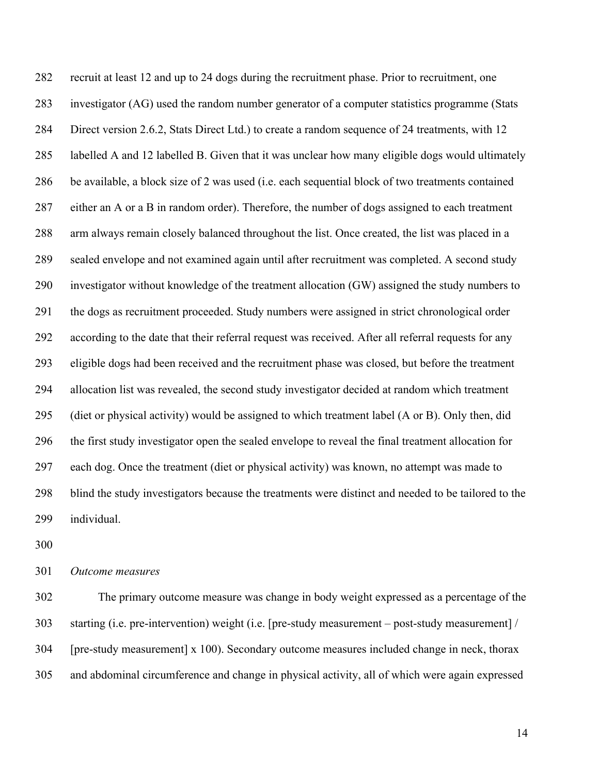recruit at least 12 and up to 24 dogs during the recruitment phase. Prior to recruitment, one investigator (AG) used the random number generator of a computer statistics programme (Stats Direct version 2.6.2, Stats Direct Ltd.) to create a random sequence of 24 treatments, with 12 labelled A and 12 labelled B. Given that it was unclear how many eligible dogs would ultimately be available, a block size of 2 was used (i.e. each sequential block of two treatments contained either an A or a B in random order). Therefore, the number of dogs assigned to each treatment arm always remain closely balanced throughout the list. Once created, the list was placed in a sealed envelope and not examined again until after recruitment was completed. A second study investigator without knowledge of the treatment allocation (GW) assigned the study numbers to the dogs as recruitment proceeded. Study numbers were assigned in strict chronological order according to the date that their referral request was received. After all referral requests for any eligible dogs had been received and the recruitment phase was closed, but before the treatment allocation list was revealed, the second study investigator decided at random which treatment (diet or physical activity) would be assigned to which treatment label (A or B). Only then, did the first study investigator open the sealed envelope to reveal the final treatment allocation for each dog. Once the treatment (diet or physical activity) was known, no attempt was made to blind the study investigators because the treatments were distinct and needed to be tailored to the individual.

*Outcome measures*

 The primary outcome measure was change in body weight expressed as a percentage of the starting (i.e. pre-intervention) weight (i.e. [pre-study measurement – post-study measurement] / [pre-study measurement] x 100). Secondary outcome measures included change in neck, thorax and abdominal circumference and change in physical activity, all of which were again expressed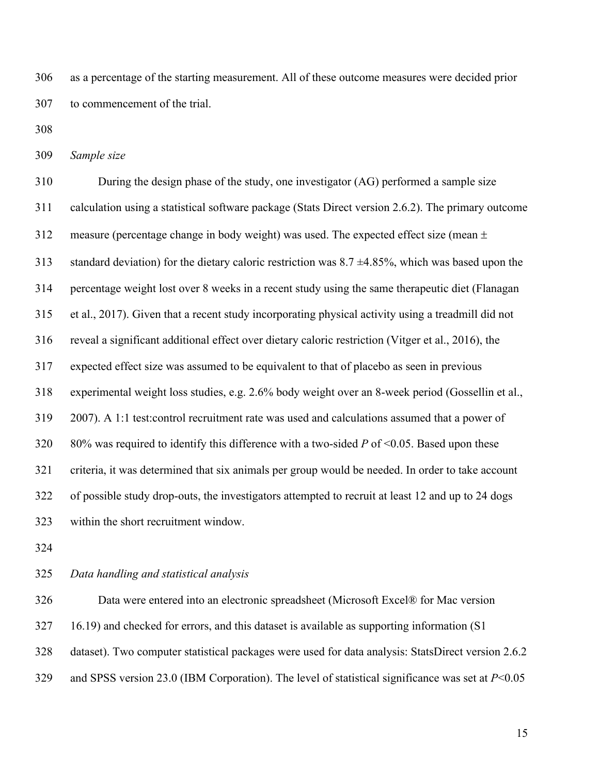as a percentage of the starting measurement. All of these outcome measures were decided prior to commencement of the trial.

*Sample size*

 During the design phase of the study, one investigator (AG) performed a sample size calculation using a statistical software package (Stats Direct version 2.6.2). The primary outcome 312 measure (percentage change in body weight) was used. The expected effect size (mean  $\pm$ 313 standard deviation) for the dietary caloric restriction was  $8.7 \pm 4.85\%$ , which was based upon the percentage weight lost over 8 weeks in a recent study using the same therapeutic diet (Flanagan et al., 2017). Given that a recent study incorporating physical activity using a treadmill did not reveal a significant additional effect over dietary caloric restriction (Vitger et al., 2016), the expected effect size was assumed to be equivalent to that of placebo as seen in previous experimental weight loss studies, e.g. 2.6% body weight over an 8-week period (Gossellin et al., 2007). A 1:1 test:control recruitment rate was used and calculations assumed that a power of 80% was required to identify this difference with a two-sided *P* of <0.05. Based upon these criteria, it was determined that six animals per group would be needed. In order to take account of possible study drop-outs, the investigators attempted to recruit at least 12 and up to 24 dogs within the short recruitment window.

#### *Data handling and statistical analysis*

 Data were entered into an electronic spreadsheet (Microsoft Excel® for Mac version 16.19) and checked for errors, and this dataset is available as supporting information (S1 dataset). Two computer statistical packages were used for data analysis: StatsDirect version 2.6.2 and SPSS version 23.0 (IBM Corporation). The level of statistical significance was set at *P*<0.05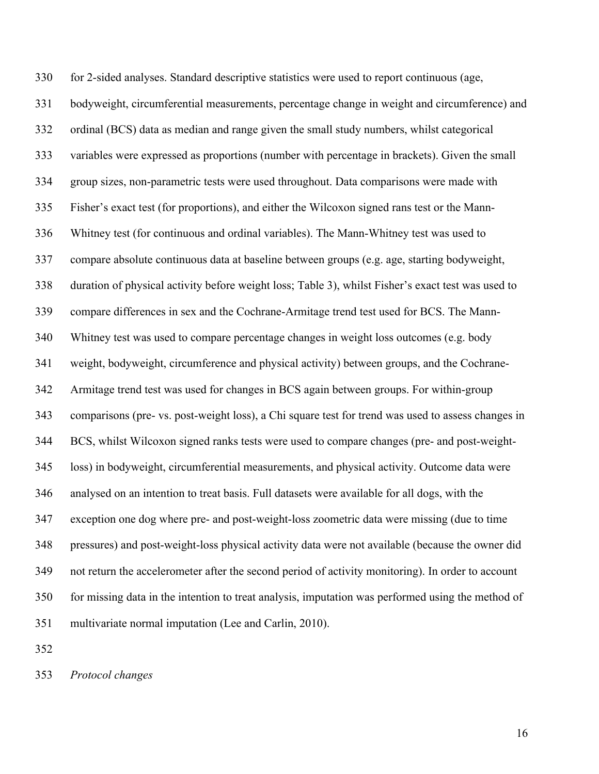for 2-sided analyses. Standard descriptive statistics were used to report continuous (age, bodyweight, circumferential measurements, percentage change in weight and circumference) and ordinal (BCS) data as median and range given the small study numbers, whilst categorical variables were expressed as proportions (number with percentage in brackets). Given the small group sizes, non-parametric tests were used throughout. Data comparisons were made with Fisher's exact test (for proportions), and either the Wilcoxon signed rans test or the Mann- Whitney test (for continuous and ordinal variables). The Mann-Whitney test was used to compare absolute continuous data at baseline between groups (e.g. age, starting bodyweight, duration of physical activity before weight loss; Table 3), whilst Fisher's exact test was used to compare differences in sex and the Cochrane-Armitage trend test used for BCS. The Mann- Whitney test was used to compare percentage changes in weight loss outcomes (e.g. body weight, bodyweight, circumference and physical activity) between groups, and the Cochrane- Armitage trend test was used for changes in BCS again between groups. For within-group comparisons (pre- vs. post-weight loss), a Chi square test for trend was used to assess changes in BCS, whilst Wilcoxon signed ranks tests were used to compare changes (pre- and post-weight- loss) in bodyweight, circumferential measurements, and physical activity. Outcome data were analysed on an intention to treat basis. Full datasets were available for all dogs, with the exception one dog where pre- and post-weight-loss zoometric data were missing (due to time pressures) and post-weight-loss physical activity data were not available (because the owner did not return the accelerometer after the second period of activity monitoring). In order to account for missing data in the intention to treat analysis, imputation was performed using the method of multivariate normal imputation (Lee and Carlin, 2010).

*Protocol changes*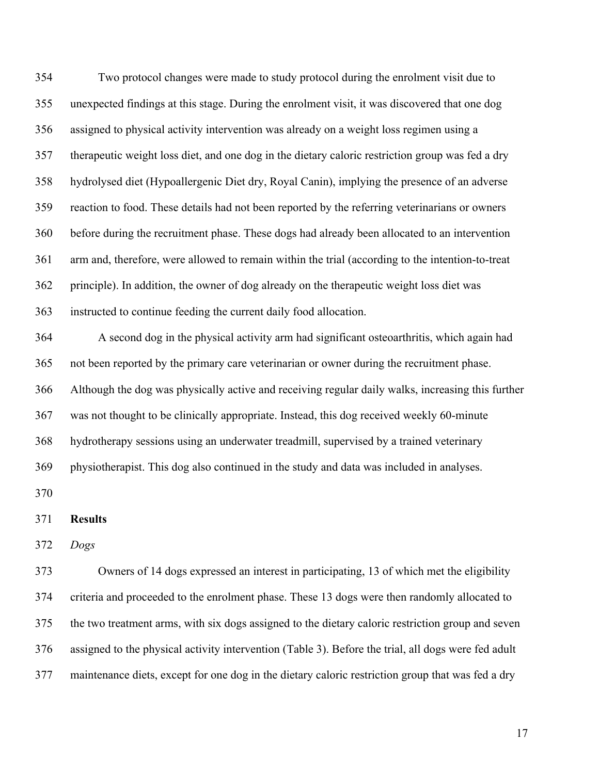Two protocol changes were made to study protocol during the enrolment visit due to unexpected findings at this stage. During the enrolment visit, it was discovered that one dog assigned to physical activity intervention was already on a weight loss regimen using a therapeutic weight loss diet, and one dog in the dietary caloric restriction group was fed a dry hydrolysed diet (Hypoallergenic Diet dry, Royal Canin), implying the presence of an adverse reaction to food. These details had not been reported by the referring veterinarians or owners before during the recruitment phase. These dogs had already been allocated to an intervention arm and, therefore, were allowed to remain within the trial (according to the intention-to-treat principle). In addition, the owner of dog already on the therapeutic weight loss diet was instructed to continue feeding the current daily food allocation.

 A second dog in the physical activity arm had significant osteoarthritis, which again had not been reported by the primary care veterinarian or owner during the recruitment phase. Although the dog was physically active and receiving regular daily walks, increasing this further was not thought to be clinically appropriate. Instead, this dog received weekly 60-minute hydrotherapy sessions using an underwater treadmill, supervised by a trained veterinary physiotherapist. This dog also continued in the study and data was included in analyses. 

#### **Results**

*Dogs*

 Owners of 14 dogs expressed an interest in participating, 13 of which met the eligibility criteria and proceeded to the enrolment phase. These 13 dogs were then randomly allocated to the two treatment arms, with six dogs assigned to the dietary caloric restriction group and seven assigned to the physical activity intervention (Table 3). Before the trial, all dogs were fed adult maintenance diets, except for one dog in the dietary caloric restriction group that was fed a dry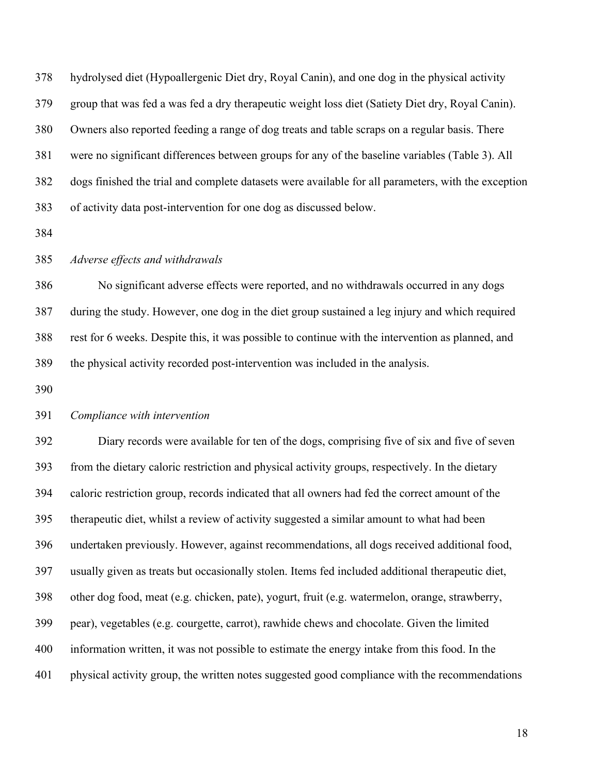hydrolysed diet (Hypoallergenic Diet dry, Royal Canin), and one dog in the physical activity group that was fed a was fed a dry therapeutic weight loss diet (Satiety Diet dry, Royal Canin). Owners also reported feeding a range of dog treats and table scraps on a regular basis. There were no significant differences between groups for any of the baseline variables (Table 3). All dogs finished the trial and complete datasets were available for all parameters, with the exception of activity data post-intervention for one dog as discussed below.

#### *Adverse effects and withdrawals*

 No significant adverse effects were reported, and no withdrawals occurred in any dogs during the study. However, one dog in the diet group sustained a leg injury and which required rest for 6 weeks. Despite this, it was possible to continue with the intervention as planned, and the physical activity recorded post-intervention was included in the analysis.

#### *Compliance with intervention*

 Diary records were available for ten of the dogs, comprising five of six and five of seven from the dietary caloric restriction and physical activity groups, respectively. In the dietary caloric restriction group, records indicated that all owners had fed the correct amount of the therapeutic diet, whilst a review of activity suggested a similar amount to what had been undertaken previously. However, against recommendations, all dogs received additional food, usually given as treats but occasionally stolen. Items fed included additional therapeutic diet, other dog food, meat (e.g. chicken, pate), yogurt, fruit (e.g. watermelon, orange, strawberry, pear), vegetables (e.g. courgette, carrot), rawhide chews and chocolate. Given the limited information written, it was not possible to estimate the energy intake from this food. In the physical activity group, the written notes suggested good compliance with the recommendations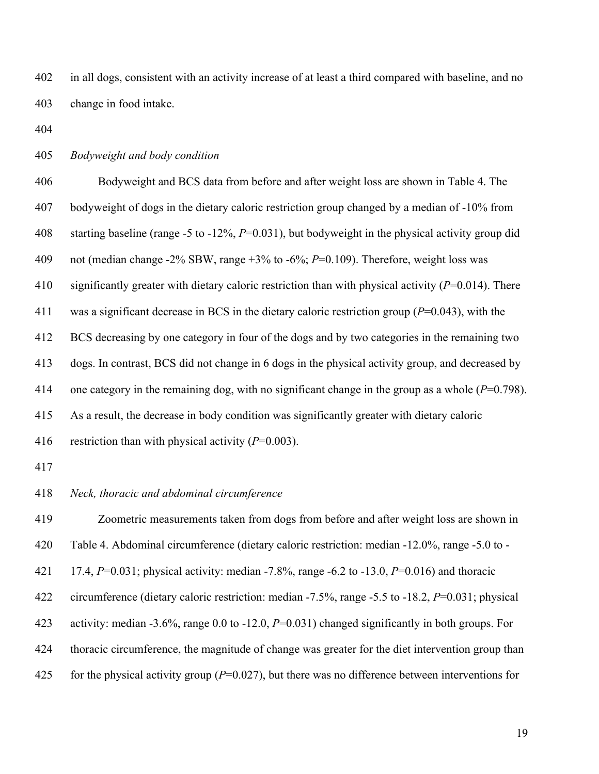in all dogs, consistent with an activity increase of at least a third compared with baseline, and no change in food intake.

*Bodyweight and body condition*

 Bodyweight and BCS data from before and after weight loss are shown in Table 4. The bodyweight of dogs in the dietary caloric restriction group changed by a median of -10% from starting baseline (range -5 to -12%, *P*=0.031), but bodyweight in the physical activity group did not (median change -2% SBW, range +3% to -6%; *P*=0.109). Therefore, weight loss was significantly greater with dietary caloric restriction than with physical activity (*P*=0.014). There was a significant decrease in BCS in the dietary caloric restriction group (*P*=0.043), with the BCS decreasing by one category in four of the dogs and by two categories in the remaining two dogs. In contrast, BCS did not change in 6 dogs in the physical activity group, and decreased by one category in the remaining dog, with no significant change in the group as a whole (*P*=0.798). As a result, the decrease in body condition was significantly greater with dietary caloric restriction than with physical activity (*P*=0.003).

*Neck, thoracic and abdominal circumference*

 Zoometric measurements taken from dogs from before and after weight loss are shown in Table 4. Abdominal circumference (dietary caloric restriction: median -12.0%, range -5.0 to - 17.4, *P*=0.031; physical activity: median -7.8%, range -6.2 to -13.0, *P*=0.016) and thoracic circumference (dietary caloric restriction: median -7.5%, range -5.5 to -18.2, *P*=0.031; physical activity: median -3.6%, range 0.0 to -12.0, *P*=0.031) changed significantly in both groups. For thoracic circumference, the magnitude of change was greater for the diet intervention group than for the physical activity group (*P*=0.027), but there was no difference between interventions for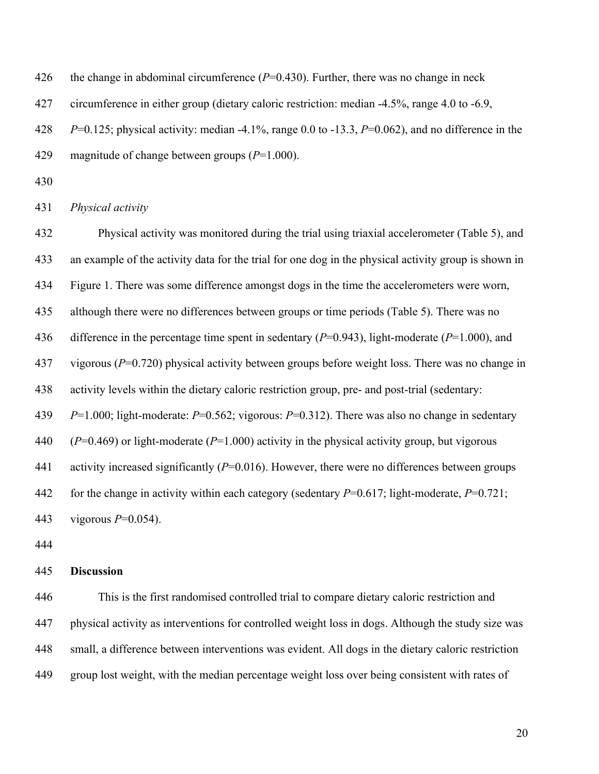426 the change in abdominal circumference  $(P=0.430)$ . Further, there was no change in neck

427 circumference in either group (dietary caloric restriction: median -4.5%, range 4.0 to -6.9,

*P*=0.125; physical activity: median -4.1%, range 0.0 to -13.3, *P*=0.062), and no difference in the

- magnitude of change between groups (*P*=1.000).
- 

*Physical activity*

 Physical activity was monitored during the trial using triaxial accelerometer (Table 5), and an example of the activity data for the trial for one dog in the physical activity group is shown in Figure 1. There was some difference amongst dogs in the time the accelerometers were worn, although there were no differences between groups or time periods (Table 5). There was no difference in the percentage time spent in sedentary (*P*=0.943), light-moderate (*P*=1.000), and vigorous (*P*=0.720) physical activity between groups before weight loss. There was no change in activity levels within the dietary caloric restriction group, pre- and post-trial (sedentary: *P*=1.000; light-moderate: *P*=0.562; vigorous: *P*=0.312). There was also no change in sedentary (*P*=0.469) or light-moderate (*P*=1.000) activity in the physical activity group, but vigorous activity increased significantly (*P*=0.016). However, there were no differences between groups for the change in activity within each category (sedentary *P*=0.617; light-moderate, *P*=0.721; vigorous *P*=0.054).

#### **Discussion**

 This is the first randomised controlled trial to compare dietary caloric restriction and physical activity as interventions for controlled weight loss in dogs. Although the study size was small, a difference between interventions was evident. All dogs in the dietary caloric restriction group lost weight, with the median percentage weight loss over being consistent with rates of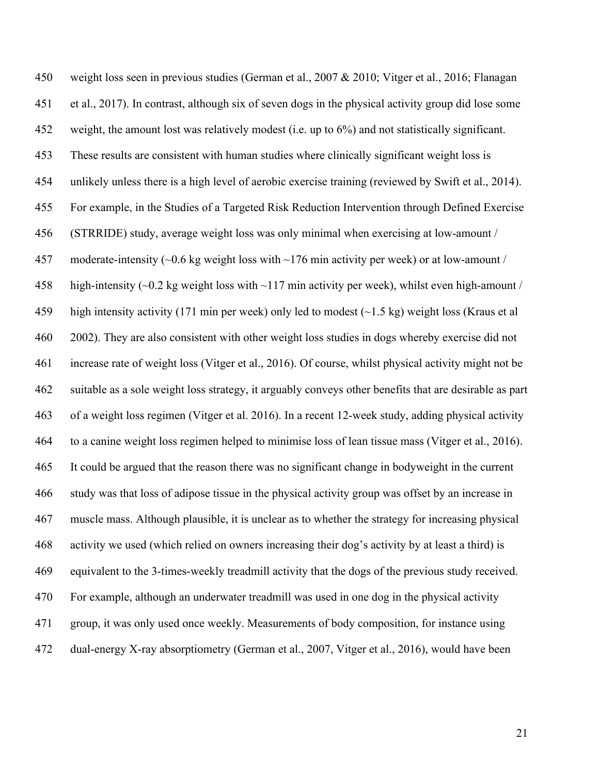weight loss seen in previous studies (German et al., 2007 & 2010; Vitger et al., 2016; Flanagan et al., 2017). In contrast, although six of seven dogs in the physical activity group did lose some weight, the amount lost was relatively modest (i.e. up to 6%) and not statistically significant. These results are consistent with human studies where clinically significant weight loss is unlikely unless there is a high level of aerobic exercise training (reviewed by Swift et al., 2014). For example, in the Studies of a Targeted Risk Reduction Intervention through Defined Exercise (STRRIDE) study, average weight loss was only minimal when exercising at low-amount / 457 moderate-intensity  $\sim 0.6$  kg weight loss with  $\sim 176$  min activity per week) or at low-amount / high-intensity (~0.2 kg weight loss with ~117 min activity per week), whilst even high-amount / 459 high intensity activity (171 min per week) only led to modest  $(\sim 1.5 \text{ kg})$  weight loss (Kraus et al 2002). They are also consistent with other weight loss studies in dogs whereby exercise did not increase rate of weight loss (Vitger et al., 2016). Of course, whilst physical activity might not be suitable as a sole weight loss strategy, it arguably conveys other benefits that are desirable as part of a weight loss regimen (Vitger et al. 2016). In a recent 12-week study, adding physical activity to a canine weight loss regimen helped to minimise loss of lean tissue mass (Vitger et al., 2016). It could be argued that the reason there was no significant change in bodyweight in the current study was that loss of adipose tissue in the physical activity group was offset by an increase in muscle mass. Although plausible, it is unclear as to whether the strategy for increasing physical activity we used (which relied on owners increasing their dog's activity by at least a third) is equivalent to the 3-times-weekly treadmill activity that the dogs of the previous study received. For example, although an underwater treadmill was used in one dog in the physical activity group, it was only used once weekly. Measurements of body composition, for instance using dual-energy X-ray absorptiometry (German et al., 2007, Vitger et al., 2016), would have been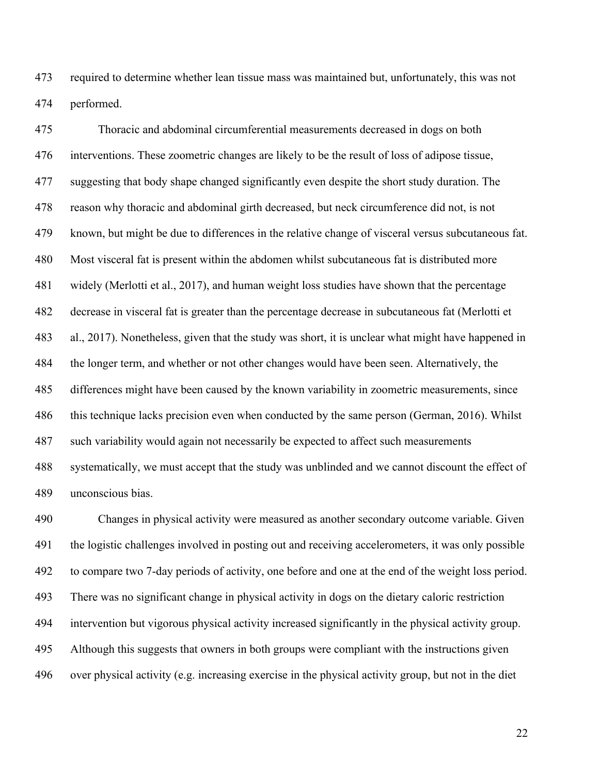required to determine whether lean tissue mass was maintained but, unfortunately, this was not performed.

 Thoracic and abdominal circumferential measurements decreased in dogs on both interventions. These zoometric changes are likely to be the result of loss of adipose tissue, suggesting that body shape changed significantly even despite the short study duration. The reason why thoracic and abdominal girth decreased, but neck circumference did not, is not known, but might be due to differences in the relative change of visceral versus subcutaneous fat. Most visceral fat is present within the abdomen whilst subcutaneous fat is distributed more widely (Merlotti et al., 2017), and human weight loss studies have shown that the percentage decrease in visceral fat is greater than the percentage decrease in subcutaneous fat (Merlotti et al., 2017). Nonetheless, given that the study was short, it is unclear what might have happened in the longer term, and whether or not other changes would have been seen. Alternatively, the differences might have been caused by the known variability in zoometric measurements, since this technique lacks precision even when conducted by the same person (German, 2016). Whilst such variability would again not necessarily be expected to affect such measurements systematically, we must accept that the study was unblinded and we cannot discount the effect of unconscious bias.

 Changes in physical activity were measured as another secondary outcome variable. Given the logistic challenges involved in posting out and receiving accelerometers, it was only possible to compare two 7-day periods of activity, one before and one at the end of the weight loss period. There was no significant change in physical activity in dogs on the dietary caloric restriction intervention but vigorous physical activity increased significantly in the physical activity group. Although this suggests that owners in both groups were compliant with the instructions given over physical activity (e.g. increasing exercise in the physical activity group, but not in the diet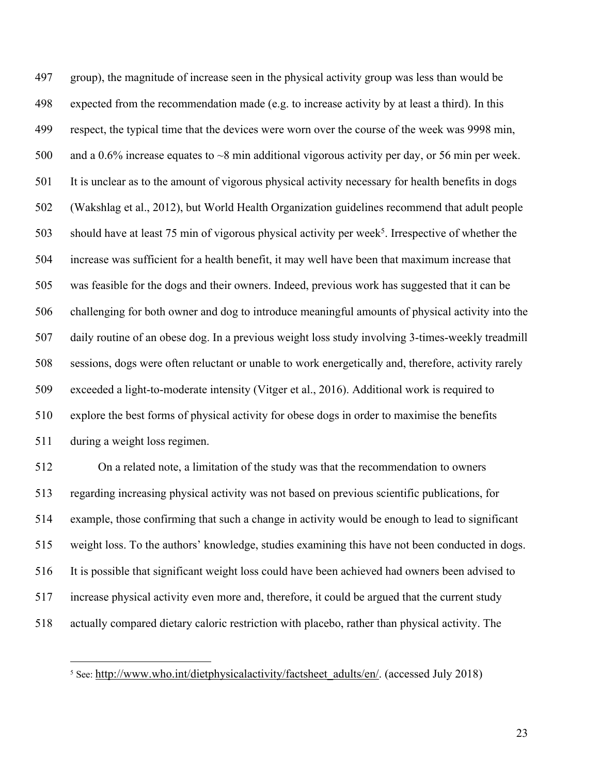group), the magnitude of increase seen in the physical activity group was less than would be expected from the recommendation made (e.g. to increase activity by at least a third). In this respect, the typical time that the devices were worn over the course of the week was 9998 min, 500 and a 0.6% increase equates to ~8 min additional vigorous activity per day, or 56 min per week. It is unclear as to the amount of vigorous physical activity necessary for health benefits in dogs (Wakshlag et al., 2012), but World Health Organization guidelines recommend that adult people 503 should have at least 75 min of vigorous physical activity per week<sup>5</sup>. Irrespective of whether the increase was sufficient for a health benefit, it may well have been that maximum increase that was feasible for the dogs and their owners. Indeed, previous work has suggested that it can be challenging for both owner and dog to introduce meaningful amounts of physical activity into the daily routine of an obese dog. In a previous weight loss study involving 3-times-weekly treadmill sessions, dogs were often reluctant or unable to work energetically and, therefore, activity rarely exceeded a light-to-moderate intensity (Vitger et al., 2016). Additional work is required to explore the best forms of physical activity for obese dogs in order to maximise the benefits during a weight loss regimen.

 On a related note, a limitation of the study was that the recommendation to owners regarding increasing physical activity was not based on previous scientific publications, for example, those confirming that such a change in activity would be enough to lead to significant weight loss. To the authors' knowledge, studies examining this have not been conducted in dogs. It is possible that significant weight loss could have been achieved had owners been advised to increase physical activity even more and, therefore, it could be argued that the current study actually compared dietary caloric restriction with placebo, rather than physical activity. The

<sup>&</sup>lt;sup>5</sup> See: http://www.who.int/dietphysicalactivity/factsheet\_adults/en/. (accessed July 2018)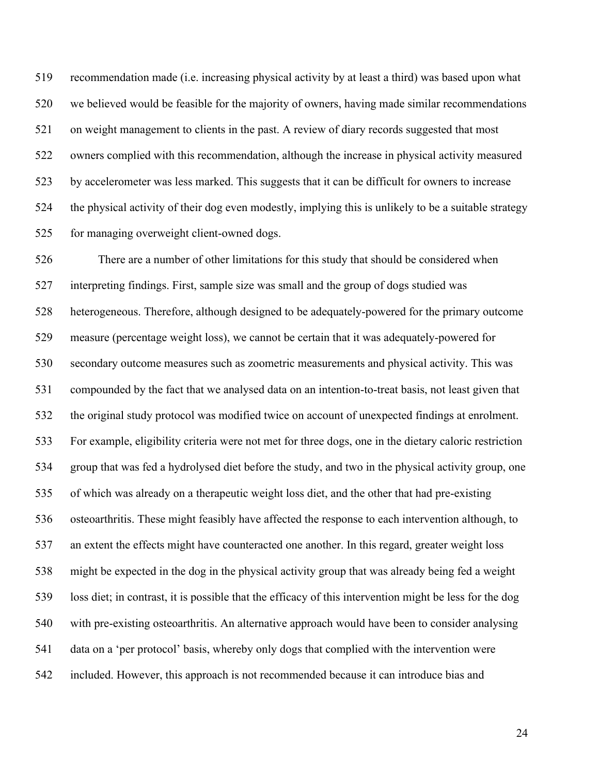recommendation made (i.e. increasing physical activity by at least a third) was based upon what we believed would be feasible for the majority of owners, having made similar recommendations on weight management to clients in the past. A review of diary records suggested that most owners complied with this recommendation, although the increase in physical activity measured by accelerometer was less marked. This suggests that it can be difficult for owners to increase the physical activity of their dog even modestly, implying this is unlikely to be a suitable strategy for managing overweight client-owned dogs.

 There are a number of other limitations for this study that should be considered when interpreting findings. First, sample size was small and the group of dogs studied was heterogeneous. Therefore, although designed to be adequately-powered for the primary outcome measure (percentage weight loss), we cannot be certain that it was adequately-powered for secondary outcome measures such as zoometric measurements and physical activity. This was compounded by the fact that we analysed data on an intention-to-treat basis, not least given that the original study protocol was modified twice on account of unexpected findings at enrolment. For example, eligibility criteria were not met for three dogs, one in the dietary caloric restriction group that was fed a hydrolysed diet before the study, and two in the physical activity group, one of which was already on a therapeutic weight loss diet, and the other that had pre-existing osteoarthritis. These might feasibly have affected the response to each intervention although, to an extent the effects might have counteracted one another. In this regard, greater weight loss might be expected in the dog in the physical activity group that was already being fed a weight loss diet; in contrast, it is possible that the efficacy of this intervention might be less for the dog with pre-existing osteoarthritis. An alternative approach would have been to consider analysing data on a 'per protocol' basis, whereby only dogs that complied with the intervention were included. However, this approach is not recommended because it can introduce bias and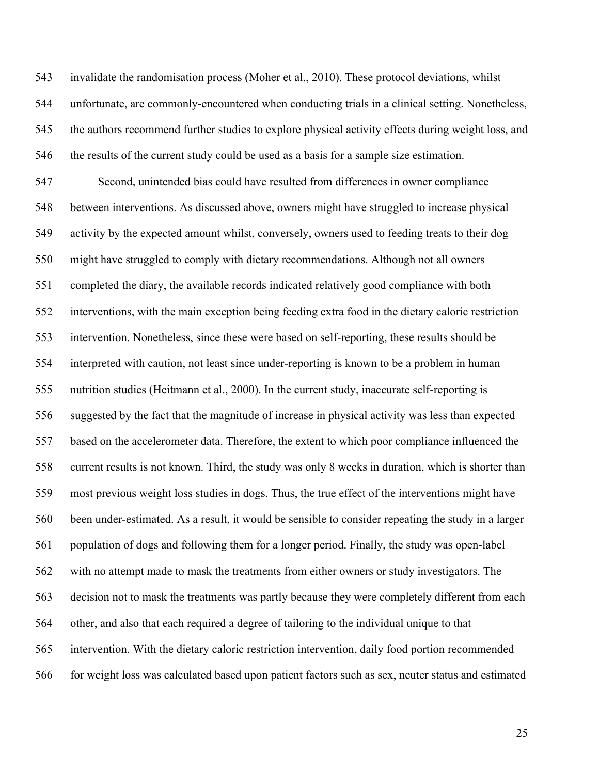invalidate the randomisation process (Moher et al., 2010). These protocol deviations, whilst unfortunate, are commonly-encountered when conducting trials in a clinical setting. Nonetheless, the authors recommend further studies to explore physical activity effects during weight loss, and the results of the current study could be used as a basis for a sample size estimation.

 Second, unintended bias could have resulted from differences in owner compliance between interventions. As discussed above, owners might have struggled to increase physical activity by the expected amount whilst, conversely, owners used to feeding treats to their dog might have struggled to comply with dietary recommendations. Although not all owners completed the diary, the available records indicated relatively good compliance with both interventions, with the main exception being feeding extra food in the dietary caloric restriction intervention. Nonetheless, since these were based on self-reporting, these results should be interpreted with caution, not least since under-reporting is known to be a problem in human nutrition studies (Heitmann et al., 2000). In the current study, inaccurate self-reporting is suggested by the fact that the magnitude of increase in physical activity was less than expected based on the accelerometer data. Therefore, the extent to which poor compliance influenced the current results is not known. Third, the study was only 8 weeks in duration, which is shorter than most previous weight loss studies in dogs. Thus, the true effect of the interventions might have been under-estimated. As a result, it would be sensible to consider repeating the study in a larger population of dogs and following them for a longer period. Finally, the study was open-label with no attempt made to mask the treatments from either owners or study investigators. The decision not to mask the treatments was partly because they were completely different from each other, and also that each required a degree of tailoring to the individual unique to that intervention. With the dietary caloric restriction intervention, daily food portion recommended for weight loss was calculated based upon patient factors such as sex, neuter status and estimated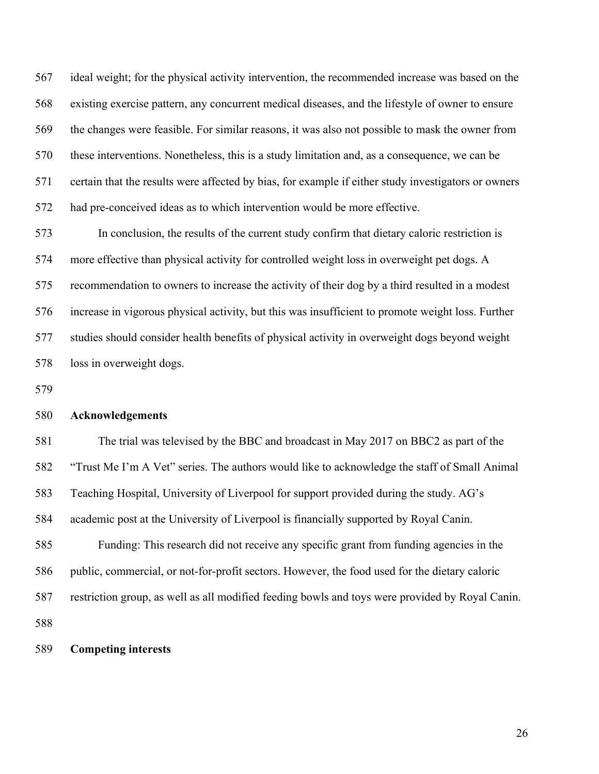ideal weight; for the physical activity intervention, the recommended increase was based on the existing exercise pattern, any concurrent medical diseases, and the lifestyle of owner to ensure the changes were feasible. For similar reasons, it was also not possible to mask the owner from these interventions. Nonetheless, this is a study limitation and, as a consequence, we can be certain that the results were affected by bias, for example if either study investigators or owners had pre-conceived ideas as to which intervention would be more effective.

 In conclusion, the results of the current study confirm that dietary caloric restriction is more effective than physical activity for controlled weight loss in overweight pet dogs. A recommendation to owners to increase the activity of their dog by a third resulted in a modest increase in vigorous physical activity, but this was insufficient to promote weight loss. Further studies should consider health benefits of physical activity in overweight dogs beyond weight loss in overweight dogs.

#### **Acknowledgements**

 The trial was televised by the BBC and broadcast in May 2017 on BBC2 as part of the "Trust Me I'm A Vet" series. The authors would like to acknowledge the staff of Small Animal Teaching Hospital, University of Liverpool for support provided during the study. AG's academic post at the University of Liverpool is financially supported by Royal Canin. Funding: This research did not receive any specific grant from funding agencies in the public, commercial, or not-for-profit sectors. However, the food used for the dietary caloric restriction group, as well as all modified feeding bowls and toys were provided by Royal Canin. 

#### **Competing interests**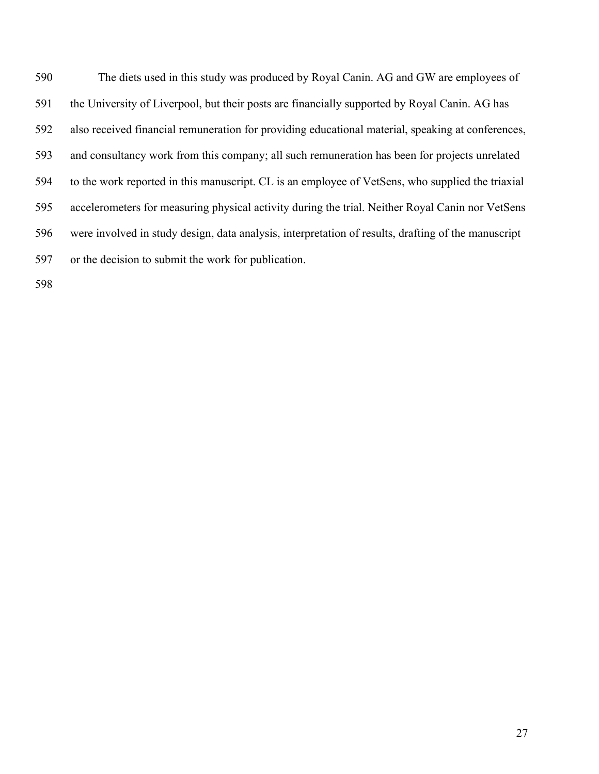The diets used in this study was produced by Royal Canin. AG and GW are employees of the University of Liverpool, but their posts are financially supported by Royal Canin. AG has also received financial remuneration for providing educational material, speaking at conferences, and consultancy work from this company; all such remuneration has been for projects unrelated to the work reported in this manuscript. CL is an employee of VetSens, who supplied the triaxial accelerometers for measuring physical activity during the trial. Neither Royal Canin nor VetSens were involved in study design, data analysis, interpretation of results, drafting of the manuscript or the decision to submit the work for publication.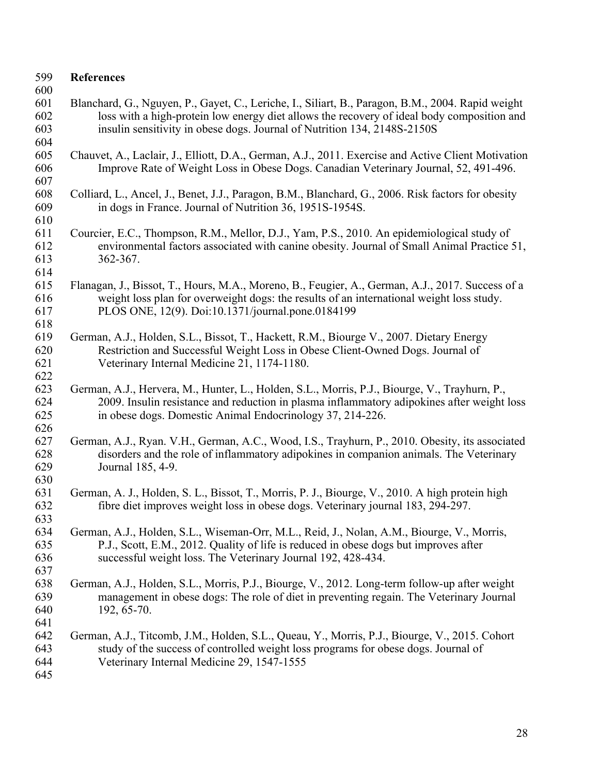| 599<br>600                      | <b>References</b>                                                                                                                                                                                                                                                           |
|---------------------------------|-----------------------------------------------------------------------------------------------------------------------------------------------------------------------------------------------------------------------------------------------------------------------------|
| 601<br>602<br>603               | Blanchard, G., Nguyen, P., Gayet, C., Leriche, I., Siliart, B., Paragon, B.M., 2004. Rapid weight<br>loss with a high-protein low energy diet allows the recovery of ideal body composition and<br>insulin sensitivity in obese dogs. Journal of Nutrition 134, 2148S-2150S |
| 604<br>605<br>606<br>607        | Chauvet, A., Laclair, J., Elliott, D.A., German, A.J., 2011. Exercise and Active Client Motivation<br>Improve Rate of Weight Loss in Obese Dogs. Canadian Veterinary Journal, 52, 491-496.                                                                                  |
| 608<br>609<br>610               | Colliard, L., Ancel, J., Benet, J.J., Paragon, B.M., Blanchard, G., 2006. Risk factors for obesity<br>in dogs in France. Journal of Nutrition 36, 1951S-1954S.                                                                                                              |
| 611<br>612<br>613<br>614        | Courcier, E.C., Thompson, R.M., Mellor, D.J., Yam, P.S., 2010. An epidemiological study of<br>environmental factors associated with canine obesity. Journal of Small Animal Practice 51,<br>362-367.                                                                        |
| 615<br>616<br>617               | Flanagan, J., Bissot, T., Hours, M.A., Moreno, B., Feugier, A., German, A.J., 2017. Success of a<br>weight loss plan for overweight dogs: the results of an international weight loss study.<br>PLOS ONE, 12(9). Doi:10.1371/journal.pone.0184199                           |
| 618<br>619<br>620<br>621<br>622 | German, A.J., Holden, S.L., Bissot, T., Hackett, R.M., Biourge V., 2007. Dietary Energy<br>Restriction and Successful Weight Loss in Obese Client-Owned Dogs. Journal of<br>Veterinary Internal Medicine 21, 1174-1180.                                                     |
| 623<br>624<br>625<br>626        | German, A.J., Hervera, M., Hunter, L., Holden, S.L., Morris, P.J., Biourge, V., Trayhurn, P.,<br>2009. Insulin resistance and reduction in plasma inflammatory adipokines after weight loss<br>in obese dogs. Domestic Animal Endocrinology 37, 214-226.                    |
| 627<br>628<br>629               | German, A.J., Ryan. V.H., German, A.C., Wood, I.S., Trayhurn, P., 2010. Obesity, its associated<br>disorders and the role of inflammatory adipokines in companion animals. The Veterinary<br>Journal 185, 4-9.                                                              |
| 630<br>631<br>632               | German, A. J., Holden, S. L., Bissot, T., Morris, P. J., Biourge, V., 2010. A high protein high<br>fibre diet improves weight loss in obese dogs. Veterinary journal 183, 294-297                                                                                           |
| 633<br>634<br>635<br>636<br>637 | German, A.J., Holden, S.L., Wiseman-Orr, M.L., Reid, J., Nolan, A.M., Biourge, V., Morris,<br>P.J., Scott, E.M., 2012. Quality of life is reduced in obese dogs but improves after<br>successful weight loss. The Veterinary Journal 192, 428-434.                          |
| 638<br>639<br>640<br>641        | German, A.J., Holden, S.L., Morris, P.J., Biourge, V., 2012. Long-term follow-up after weight<br>management in obese dogs: The role of diet in preventing regain. The Veterinary Journal<br>192, 65-70.                                                                     |
| 642<br>643<br>644<br>645        | German, A.J., Titcomb, J.M., Holden, S.L., Queau, Y., Morris, P.J., Biourge, V., 2015. Cohort<br>study of the success of controlled weight loss programs for obese dogs. Journal of<br>Veterinary Internal Medicine 29, 1547-1555                                           |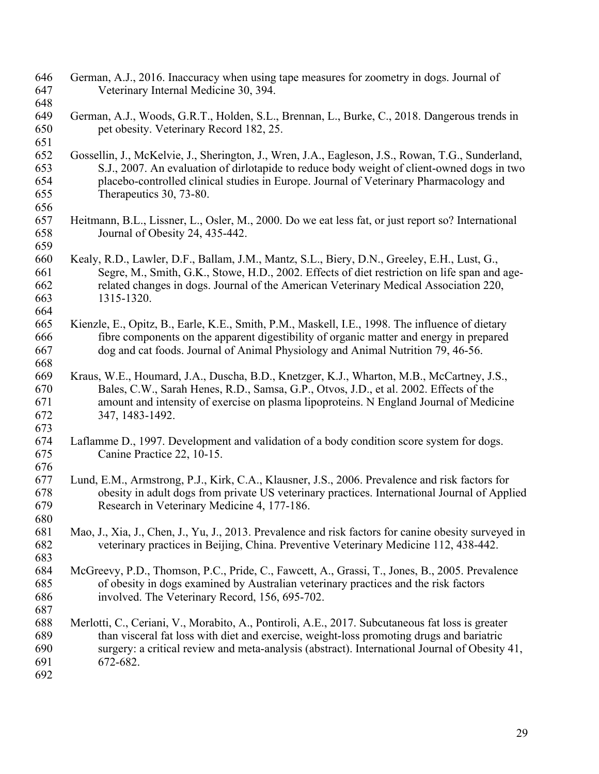| 646<br>647                      | German, A.J., 2016. Inaccuracy when using tape measures for zoometry in dogs. Journal of<br>Veterinary Internal Medicine 30, 394.                                                                                                                                                                                   |
|---------------------------------|---------------------------------------------------------------------------------------------------------------------------------------------------------------------------------------------------------------------------------------------------------------------------------------------------------------------|
| 648<br>649<br>650<br>651        | German, A.J., Woods, G.R.T., Holden, S.L., Brennan, L., Burke, C., 2018. Dangerous trends in<br>pet obesity. Veterinary Record 182, 25.                                                                                                                                                                             |
| 652<br>653<br>654<br>655<br>656 | Gossellin, J., McKelvie, J., Sherington, J., Wren, J.A., Eagleson, J.S., Rowan, T.G., Sunderland,<br>S.J., 2007. An evaluation of dirlotapide to reduce body weight of client-owned dogs in two<br>placebo-controlled clinical studies in Europe. Journal of Veterinary Pharmacology and<br>Therapeutics 30, 73-80. |
| 657<br>658<br>659               | Heitmann, B.L., Lissner, L., Osler, M., 2000. Do we eat less fat, or just report so? International<br>Journal of Obesity 24, 435-442.                                                                                                                                                                               |
| 660<br>661<br>662<br>663<br>664 | Kealy, R.D., Lawler, D.F., Ballam, J.M., Mantz, S.L., Biery, D.N., Greeley, E.H., Lust, G.,<br>Segre, M., Smith, G.K., Stowe, H.D., 2002. Effects of diet restriction on life span and age-<br>related changes in dogs. Journal of the American Veterinary Medical Association 220,<br>1315-1320.                   |
| 665<br>666<br>667<br>668        | Kienzle, E., Opitz, B., Earle, K.E., Smith, P.M., Maskell, I.E., 1998. The influence of dietary<br>fibre components on the apparent digestibility of organic matter and energy in prepared<br>dog and cat foods. Journal of Animal Physiology and Animal Nutrition 79, 46-56.                                       |
| 669<br>670<br>671<br>672<br>673 | Kraus, W.E., Houmard, J.A., Duscha, B.D., Knetzger, K.J., Wharton, M.B., McCartney, J.S.,<br>Bales, C.W., Sarah Henes, R.D., Samsa, G.P., Otvos, J.D., et al. 2002. Effects of the<br>amount and intensity of exercise on plasma lipoproteins. N England Journal of Medicine<br>347, 1483-1492.                     |
| 674<br>675<br>676               | Laflamme D., 1997. Development and validation of a body condition score system for dogs.<br>Canine Practice 22, 10-15.                                                                                                                                                                                              |
| 677<br>678<br>679<br>680        | Lund, E.M., Armstrong, P.J., Kirk, C.A., Klausner, J.S., 2006. Prevalence and risk factors for<br>obesity in adult dogs from private US veterinary practices. International Journal of Applied<br>Research in Veterinary Medicine 4, 177-186.                                                                       |
| 681<br>682<br>683               | Mao, J., Xia, J., Chen, J., Yu, J., 2013. Prevalence and risk factors for canine obesity surveyed in<br>veterinary practices in Beijing, China. Preventive Veterinary Medicine 112, 438-442.                                                                                                                        |
| 684<br>685<br>686<br>687        | McGreevy, P.D., Thomson, P.C., Pride, C., Fawcett, A., Grassi, T., Jones, B., 2005. Prevalence<br>of obesity in dogs examined by Australian veterinary practices and the risk factors<br>involved. The Veterinary Record, 156, 695-702.                                                                             |
| 688<br>689<br>690<br>691<br>692 | Merlotti, C., Ceriani, V., Morabito, A., Pontiroli, A.E., 2017. Subcutaneous fat loss is greater<br>than visceral fat loss with diet and exercise, weight-loss promoting drugs and bariatric<br>surgery: a critical review and meta-analysis (abstract). International Journal of Obesity 41,<br>672-682.           |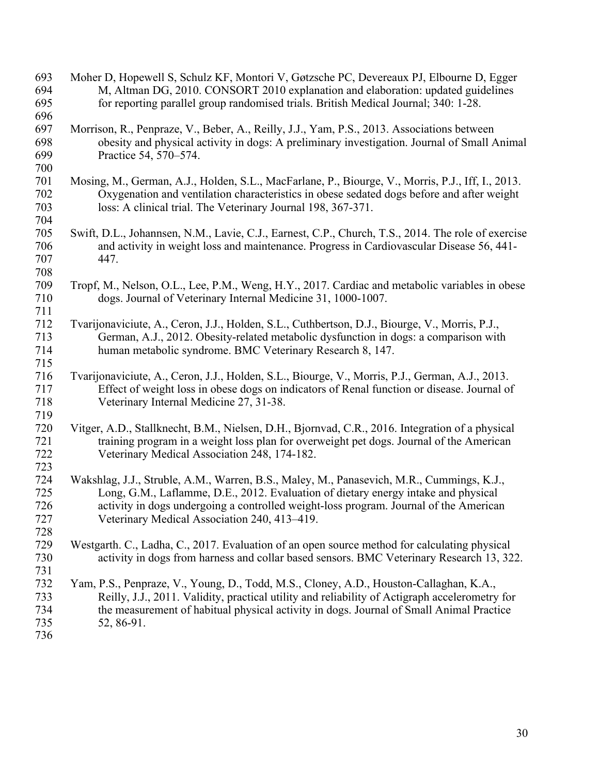| 693<br>694<br>695               | Moher D, Hopewell S, Schulz KF, Montori V, Gøtzsche PC, Devereaux PJ, Elbourne D, Egger<br>M, Altman DG, 2010. CONSORT 2010 explanation and elaboration: updated guidelines<br>for reporting parallel group randomised trials. British Medical Journal; 340: 1-28.                                                       |
|---------------------------------|--------------------------------------------------------------------------------------------------------------------------------------------------------------------------------------------------------------------------------------------------------------------------------------------------------------------------|
| 696                             |                                                                                                                                                                                                                                                                                                                          |
| 697<br>698<br>699<br>700        | Morrison, R., Penpraze, V., Beber, A., Reilly, J.J., Yam, P.S., 2013. Associations between<br>obesity and physical activity in dogs: A preliminary investigation. Journal of Small Animal<br>Practice 54, 570–574.                                                                                                       |
| 701<br>702<br>703<br>704        | Mosing, M., German, A.J., Holden, S.L., MacFarlane, P., Biourge, V., Morris, P.J., Iff, I., 2013.<br>Oxygenation and ventilation characteristics in obese sedated dogs before and after weight<br>loss: A clinical trial. The Veterinary Journal 198, 367-371.                                                           |
| 705<br>706<br>707<br>708        | Swift, D.L., Johannsen, N.M., Lavie, C.J., Earnest, C.P., Church, T.S., 2014. The role of exercise<br>and activity in weight loss and maintenance. Progress in Cardiovascular Disease 56, 441-<br>447.                                                                                                                   |
| 709<br>710<br>711               | Tropf, M., Nelson, O.L., Lee, P.M., Weng, H.Y., 2017. Cardiac and metabolic variables in obese<br>dogs. Journal of Veterinary Internal Medicine 31, 1000-1007.                                                                                                                                                           |
| 712<br>713<br>714<br>715        | Tvarijonaviciute, A., Ceron, J.J., Holden, S.L., Cuthbertson, D.J., Biourge, V., Morris, P.J.,<br>German, A.J., 2012. Obesity-related metabolic dysfunction in dogs: a comparison with<br>human metabolic syndrome. BMC Veterinary Research 8, 147.                                                                      |
| 716<br>717<br>718<br>719        | Tvarijonaviciute, A., Ceron, J.J., Holden, S.L., Biourge, V., Morris, P.J., German, A.J., 2013.<br>Effect of weight loss in obese dogs on indicators of Renal function or disease. Journal of<br>Veterinary Internal Medicine 27, 31-38.                                                                                 |
| 720<br>721<br>722<br>723        | Vitger, A.D., Stallknecht, B.M., Nielsen, D.H., Bjornvad, C.R., 2016. Integration of a physical<br>training program in a weight loss plan for overweight pet dogs. Journal of the American<br>Veterinary Medical Association 248, 174-182.                                                                               |
| 724<br>725<br>726<br>727<br>728 | Wakshlag, J.J., Struble, A.M., Warren, B.S., Maley, M., Panasevich, M.R., Cummings, K.J.,<br>Long, G.M., Laflamme, D.E., 2012. Evaluation of dietary energy intake and physical<br>activity in dogs undergoing a controlled weight-loss program. Journal of the American<br>Veterinary Medical Association 240, 413–419. |
| 729<br>730<br>731               | Westgarth. C., Ladha, C., 2017. Evaluation of an open source method for calculating physical<br>activity in dogs from harness and collar based sensors. BMC Veterinary Research 13, 322.                                                                                                                                 |
| 732<br>733<br>734<br>735<br>736 | Yam, P.S., Penpraze, V., Young, D., Todd, M.S., Cloney, A.D., Houston-Callaghan, K.A.,<br>Reilly, J.J., 2011. Validity, practical utility and reliability of Actigraph accelerometry for<br>the measurement of habitual physical activity in dogs. Journal of Small Animal Practice<br>52, 86-91.                        |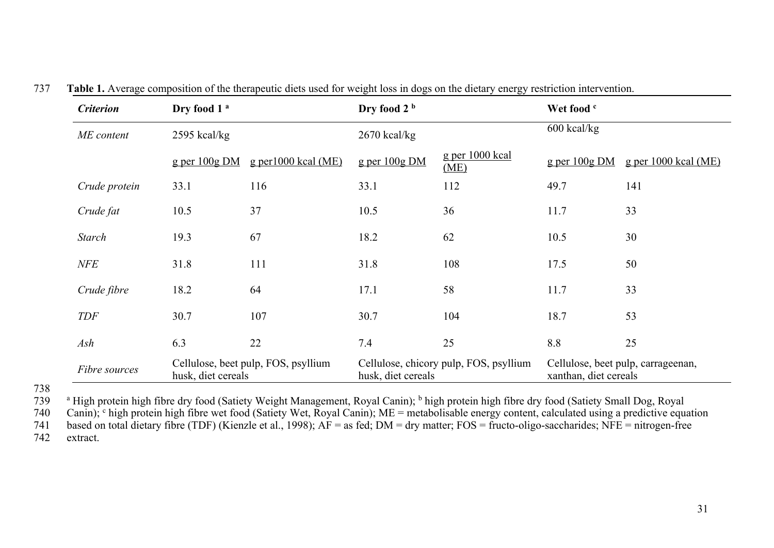| <b>Criterion</b> | Dry food 1 <sup>a</sup> |                                     | Dry food 2 b       |                                        | Wet food c            |                                    |
|------------------|-------------------------|-------------------------------------|--------------------|----------------------------------------|-----------------------|------------------------------------|
| ME content       | $2595$ kcal/kg          |                                     | $2670$ kcal/kg     |                                        | $600$ kcal/kg         |                                    |
|                  | $g$ per $100g$ DM       | $g$ per 1000 kcal (ME)              | $g$ per $100g$ DM  | g per 1000 kcal<br>(ME)                | $g$ per $100g$ DM     | g per $1000$ kcal (ME)             |
| Crude protein    | 33.1                    | 116                                 | 33.1               | 112                                    | 49.7                  | 141                                |
| Crude fat        | 10.5                    | 37                                  | 10.5               | 36                                     | 11.7                  | 33                                 |
| <b>Starch</b>    | 19.3                    | 67                                  | 18.2               | 62                                     | 10.5                  | 30                                 |
| <b>NFE</b>       | 31.8                    | 111                                 | 31.8               | 108                                    | 17.5                  | 50                                 |
| Crude fibre      | 18.2                    | 64                                  | 17.1               | 58                                     | 11.7                  | 33                                 |
| <b>TDF</b>       | 30.7                    | 107                                 | 30.7               | 104                                    | 18.7                  | 53                                 |
| Ash              | 6.3                     | 22                                  | 7.4                | 25                                     | 8.8                   | 25                                 |
| Fibre sources    | husk, diet cereals      | Cellulose, beet pulp, FOS, psyllium | husk, diet cereals | Cellulose, chicory pulp, FOS, psyllium | xanthan, diet cereals | Cellulose, beet pulp, carrageenan, |

|  |  |  |  |  |  | 737 Table 1. Average composition of the therapeutic diets used for weight loss in dogs on the dietary energy restriction intervention. |
|--|--|--|--|--|--|----------------------------------------------------------------------------------------------------------------------------------------|
|--|--|--|--|--|--|----------------------------------------------------------------------------------------------------------------------------------------|

738

<sup>a</sup> High protein high fibre dry food (Satiety Weight Management, Royal Canin); <sup>b</sup> high protein high fibre dry food (Satiety Small Dog, Royal *740* Canin); <sup>c</sup> high protein high fibre wet food (Satiety Wet, Royal Canin); Canin); <sup>c</sup> high protein high fibre wet food (Satiety Wet, Royal Canin); ME = metabolisable energy content, calculated using a predictive equation<br>741 based on total dietary fibre (TDF) (Kienzle et al., 1998); AF = as fed 741 based on total dietary fibre (TDF) (Kienzle et al., 1998);  $\overrightarrow{AF}$  = as fed;  $\overrightarrow{DM}$  = dry matter; FOS = fructo-oligo-saccharides; NFE = nitrogen-free extract.

extract.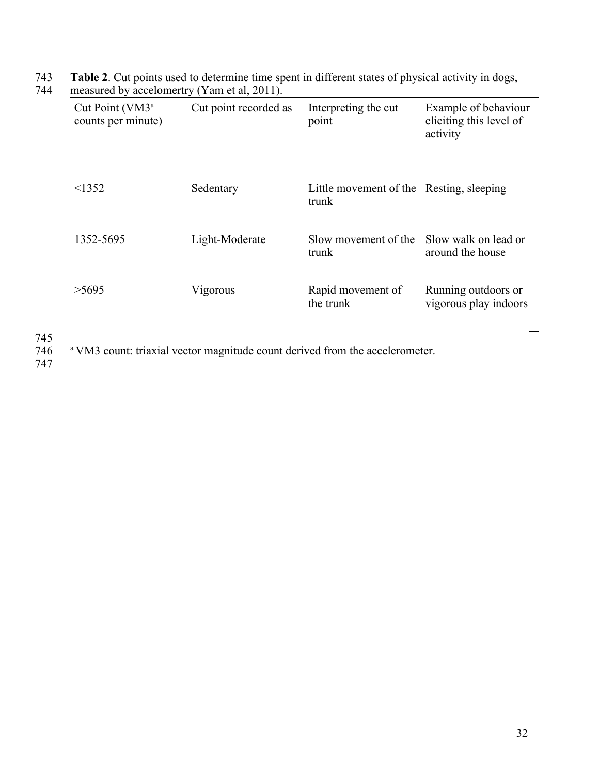| Cut Point (VM3 <sup>a</sup><br>counts per minute) | Cut point recorded as | Interpreting the cut<br>point                     | Example of behaviour<br>eliciting this level of<br>activity |
|---------------------------------------------------|-----------------------|---------------------------------------------------|-------------------------------------------------------------|
| <1352                                             | Sedentary             | Little movement of the Resting, sleeping<br>trunk |                                                             |
| 1352-5695                                         | Light-Moderate        | Slow movement of the<br>trunk                     | Slow walk on lead or<br>around the house                    |
| >5695                                             | Vigorous              | Rapid movement of<br>the trunk                    | Running outdoors or<br>vigorous play indoors                |

743 **Table 2**. Cut points used to determine time spent in different states of physical activity in dogs, 744 measured by accelomertry (Yam et al, 2011).

745

<sup>a</sup> VM3 count: triaxial vector magnitude count derived from the accelerometer.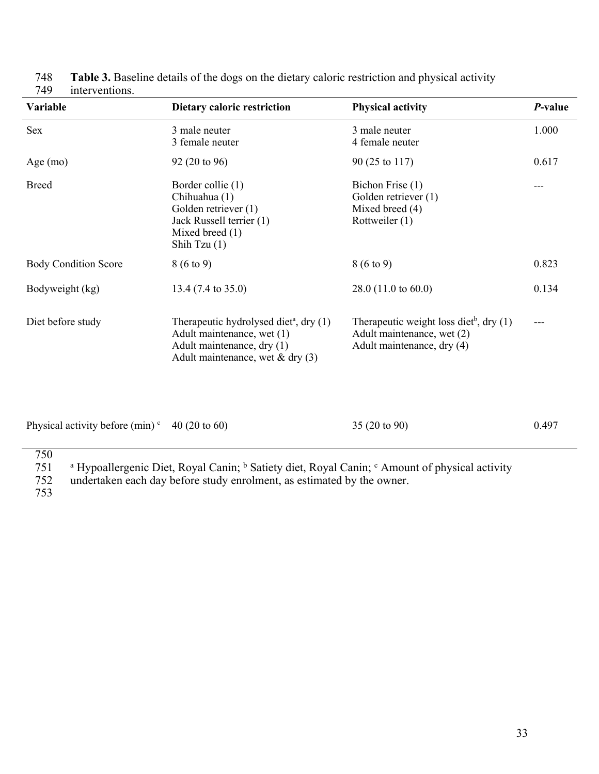| <b>Variable</b>             | Dietary caloric restriction                                                                                                                          | <b>Physical activity</b>                                                                                          | <i>P</i> -value |
|-----------------------------|------------------------------------------------------------------------------------------------------------------------------------------------------|-------------------------------------------------------------------------------------------------------------------|-----------------|
| <b>Sex</b>                  | 3 male neuter<br>3 female neuter                                                                                                                     | 3 male neuter<br>4 female neuter                                                                                  | 1.000           |
| Age $(mo)$                  | $92(20 \text{ to } 96)$                                                                                                                              | 90 (25 to 117)                                                                                                    | 0.617           |
| <b>Breed</b>                | Border collie (1)<br>Chihuahua (1)<br>Golden retriever (1)<br>Jack Russell terrier (1)<br>Mixed breed (1)<br>Shih Tzu $(1)$                          | Bichon Frise (1)<br>Golden retriever (1)<br>Mixed breed (4)<br>Rottweiler (1)                                     |                 |
| <b>Body Condition Score</b> | $8(6 \text{ to } 9)$                                                                                                                                 | $8(6 \text{ to } 9)$                                                                                              | 0.823           |
| Bodyweight (kg)             | 13.4 (7.4 to 35.0)                                                                                                                                   | 28.0 (11.0 to 60.0)                                                                                               | 0.134           |
| Diet before study           | Therapeutic hydrolysed diet <sup>a</sup> , dry (1)<br>Adult maintenance, wet (1)<br>Adult maintenance, dry (1)<br>Adult maintenance, wet & dry $(3)$ | Therapeutic weight loss diet <sup>b</sup> , dry $(1)$<br>Adult maintenance, wet (2)<br>Adult maintenance, dry (4) | ---             |

| 748 | Table 3. Baseline details of the dogs on the dietary caloric restriction and physical activity |
|-----|------------------------------------------------------------------------------------------------|
|     | 749 interventions.                                                                             |

| Physical activity before (min) <sup>c</sup> 40 (20 to 60) | $35(20 \text{ to } 90)$ | 0.497 |
|-----------------------------------------------------------|-------------------------|-------|
| 750                                                       |                         |       |

751 a Hypoallergenic Diet, Royal Canin; <sup>b</sup> Satiety diet, Royal Canin; <sup>c</sup> Amount of physical activity

752 undertaken each day before study enrolment, as estimated by the owner.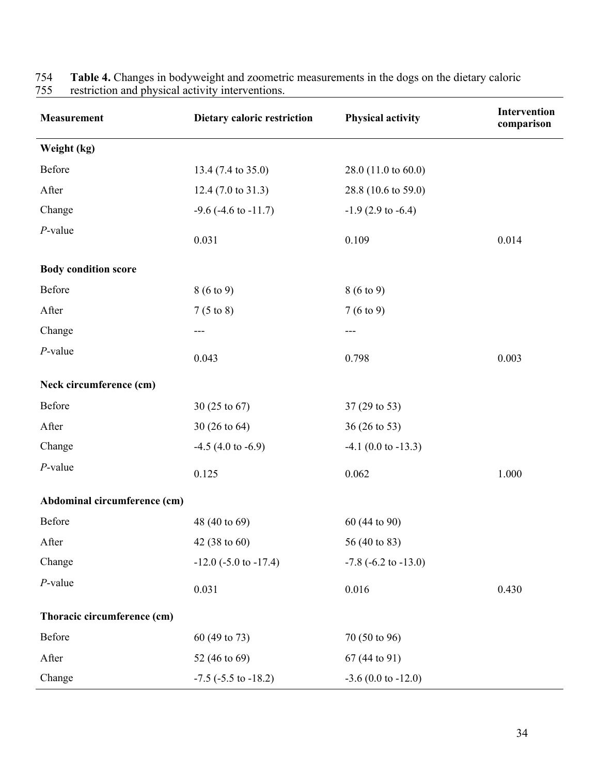| <b>Measurement</b>           | Dietary caloric restriction   | <b>Physical activity</b>     | Intervention<br>comparison |
|------------------------------|-------------------------------|------------------------------|----------------------------|
| Weight (kg)                  |                               |                              |                            |
| Before                       | 13.4 (7.4 to 35.0)            | 28.0 (11.0 to 60.0)          |                            |
| After                        | $12.4(7.0 \text{ to } 31.3)$  | 28.8 (10.6 to 59.0)          |                            |
| Change                       | $-9.6$ ( $-4.6$ to $-11.7$ )  | $-1.9$ (2.9 to $-6.4$ )      |                            |
| $P$ -value                   | 0.031                         | 0.109                        | 0.014                      |
| <b>Body condition score</b>  |                               |                              |                            |
| Before                       | $8(6 \text{ to } 9)$          | $8(6 \text{ to } 9)$         |                            |
| After                        | $7(5 \text{ to } 8)$          | 7(6 to 9)                    |                            |
| Change                       | ---                           | $---$                        |                            |
| $P$ -value                   | 0.043                         | 0.798                        | 0.003                      |
| Neck circumference (cm)      |                               |                              |                            |
| Before                       | 30 (25 to 67)                 | 37 (29 to 53)                |                            |
| After                        | 30 (26 to 64)                 | 36 (26 to 53)                |                            |
| Change                       | $-4.5$ (4.0 to $-6.9$ )       | $-4.1$ (0.0 to $-13.3$ )     |                            |
| $P$ -value                   | 0.125                         | 0.062                        | 1.000                      |
| Abdominal circumference (cm) |                               |                              |                            |
| Before                       | 48 (40 to 69)                 | 60 (44 to 90)                |                            |
| After                        | 42 $(38 \text{ to } 60)$      | 56 (40 to 83)                |                            |
| Change                       | $-12.0$ ( $-5.0$ to $-17.4$ ) | $-7.8$ ( $-6.2$ to $-13.0$ ) |                            |
| $P$ -value                   | 0.031                         | 0.016                        | 0.430                      |
| Thoracic circumference (cm)  |                               |                              |                            |
| Before                       | 60 (49 to 73)                 | 70 (50 to 96)                |                            |
| After                        | 52 (46 to 69)                 | 67 (44 to 91)                |                            |
| Change                       | $-7.5$ ( $-5.5$ to $-18.2$ )  | $-3.6$ (0.0 to $-12.0$ )     |                            |

754 **Table 4.** Changes in bodyweight and zoometric measurements in the dogs on the dietary caloric 755 restriction and physical activity interventions.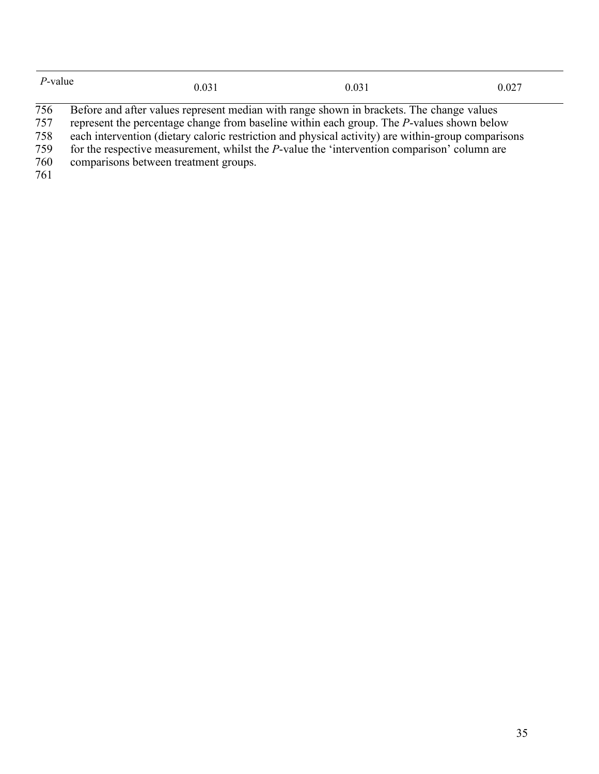| P-value | 0.031                                                                                                      | 0.031 | 0.027 |
|---------|------------------------------------------------------------------------------------------------------------|-------|-------|
| 756     | Before and after values represent median with range shown in brackets. The change values                   |       |       |
| 757     | represent the percentage change from baseline within each group. The P-values shown below                  |       |       |
| 750     | . 1. the magnetic of the common contrations of the study of coefficient and contributions of the common st |       |       |

each intervention (dietary caloric restriction and physical activity) are within-group comparisons

for the respective measurement, whilst the *P*-value the 'intervention comparison' column are

comparisons between treatment groups.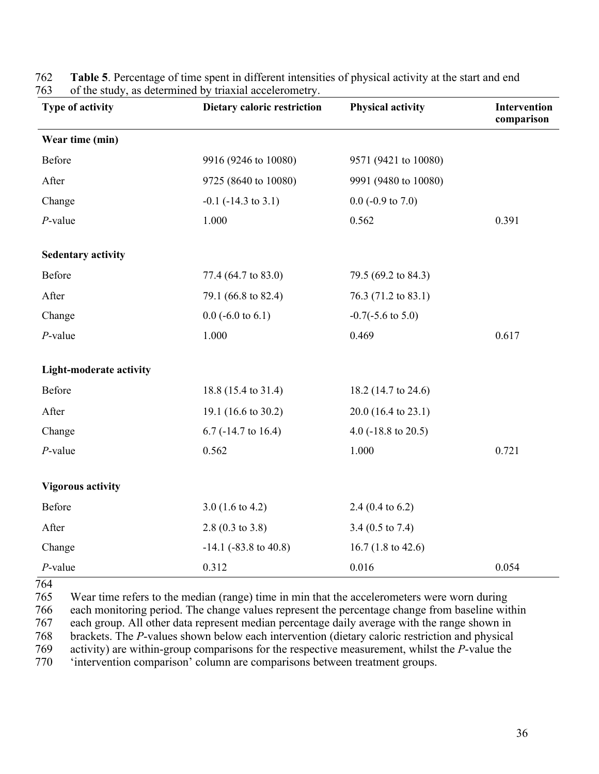| Type of activity               | of the study, as determined by triaxial acceleration of<br>Dietary caloric restriction | <b>Physical activity</b>       | Intervention<br>comparison |
|--------------------------------|----------------------------------------------------------------------------------------|--------------------------------|----------------------------|
| Wear time (min)                |                                                                                        |                                |                            |
| Before                         | 9916 (9246 to 10080)                                                                   | 9571 (9421 to 10080)           |                            |
| After                          | 9725 (8640 to 10080)                                                                   | 9991 (9480 to 10080)           |                            |
| Change                         | $-0.1$ ( $-14.3$ to 3.1)                                                               | $0.0$ (-0.9 to 7.0)            |                            |
| $P$ -value                     | 1.000                                                                                  | 0.562                          | 0.391                      |
| <b>Sedentary activity</b>      |                                                                                        |                                |                            |
| Before                         | 77.4 (64.7 to 83.0)                                                                    | 79.5 (69.2 to 84.3)            |                            |
| After                          | 79.1 (66.8 to 82.4)                                                                    | 76.3 (71.2 to 83.1)            |                            |
| Change                         | $0.0$ (-6.0 to 6.1)                                                                    | $-0.7(-5.6 \text{ to } 5.0)$   |                            |
| $P$ -value                     | 1.000                                                                                  | 0.469                          | 0.617                      |
| <b>Light-moderate activity</b> |                                                                                        |                                |                            |
| Before                         | 18.8 (15.4 to 31.4)                                                                    | 18.2 (14.7 to 24.6)            |                            |
| After                          | 19.1 (16.6 to 30.2)                                                                    | 20.0 (16.4 to 23.1)            |                            |
| Change                         | $6.7$ (-14.7 to 16.4)                                                                  | 4.0 $(-18.8 \text{ to } 20.5)$ |                            |
| $P$ -value                     | 0.562                                                                                  | 1.000                          | 0.721                      |
| <b>Vigorous activity</b>       |                                                                                        |                                |                            |
| Before                         | 3.0 $(1.6 \text{ to } 4.2)$                                                            | 2.4 $(0.4 \text{ to } 6.2)$    |                            |
| After                          | $2.8(0.3 \text{ to } 3.8)$                                                             | 3.4 $(0.5 \text{ to } 7.4)$    |                            |
| Change                         | $-14.1$ ( $-83.8$ to $40.8$ )                                                          | 16.7 $(1.8 \text{ to } 42.6)$  |                            |
| $P$ -value                     | 0.312                                                                                  | 0.016                          | 0.054                      |

762 **Table 5**. Percentage of time spent in different intensities of physical activity at the start and end of the study, as determined by triaxial accelerometry.

764

 Wear time refers to the median (range) time in min that the accelerometers were worn during each monitoring period. The change values represent the percentage change from baseline within each group. All other data represent median percentage daily average with the range shown in brackets. The *P*-values shown below each intervention (dietary caloric restriction and physical activity) are within-group comparisons for the respective measurement, whilst the *P*-value the 'intervention comparison' column are comparisons between treatment groups.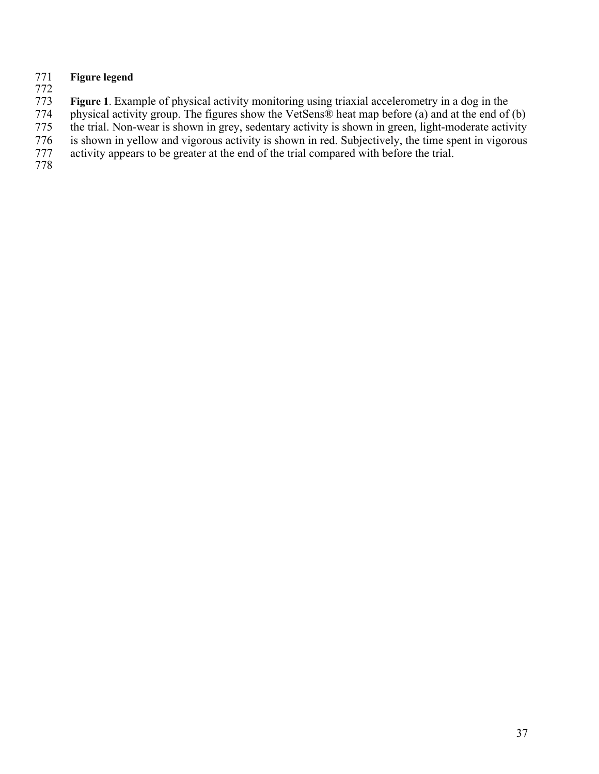## **Figure** legend 771<br>772<br>773

**Figure 1**. Example of physical activity monitoring using triaxial accelerometry in a dog in the

physical activity group. The figures show the VetSens® heat map before (a) and at the end of (b)

the trial. Non-wear is shown in grey, sedentary activity is shown in green, light-moderate activity

is shown in yellow and vigorous activity is shown in red. Subjectively, the time spent in vigorous

activity appears to be greater at the end of the trial compared with before the trial.